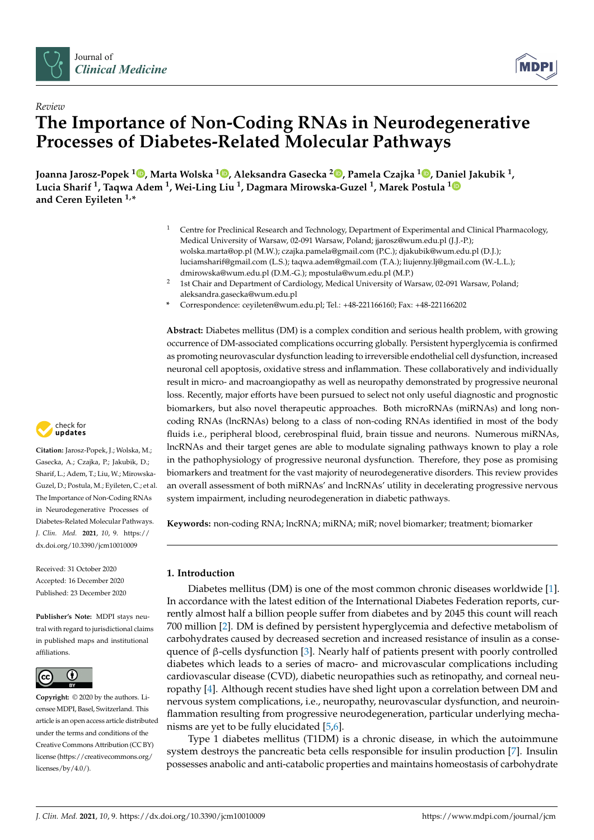



# *Review* **The Importance of Non-Coding RNAs in Neurodegenerative Processes of Diabetes-Related Molecular Pathways**

**Joanna Jarosz-Popek [1](https://orcid.org/0000-0003-0960-0208) , Marta Wolska [1](https://orcid.org/0000-0002-3190-8113) , Aleksandra Gasecka <sup>2</sup> [,](https://orcid.org/0000-0001-5083-7587) Pamela Czajka <sup>1</sup> [,](https://orcid.org/0000-0002-0193-0192) Daniel Jakubik <sup>1</sup> , Lucia Sharif <sup>1</sup> , Taqwa Adem <sup>1</sup> , Wei-Ling Liu <sup>1</sup> , Dagmara Mirowska-Guzel <sup>1</sup> , Marek Postula [1](https://orcid.org/0000-0002-7826-4458) and Ceren Eyileten 1,\***

- <sup>1</sup> Centre for Preclinical Research and Technology, Department of Experimental and Clinical Pharmacology, Medical University of Warsaw, 02-091 Warsaw, Poland; jjarosz@wum.edu.pl (J.J.-P.); wolska.marta@op.pl (M.W.); czajka.pamela@gmail.com (P.C.); djakubik@wum.edu.pl (D.J.); luciamsharif@gmail.com (L.S.); taqwa.adem@gmail.com (T.A.); liujenny.lj@gmail.com (W.-L.L.); dmirowska@wum.edu.pl (D.M.-G.); mpostula@wum.edu.pl (M.P.)
- <sup>2</sup> 1st Chair and Department of Cardiology, Medical University of Warsaw, 02-091 Warsaw, Poland; aleksandra.gasecka@wum.edu.pl
- **\*** Correspondence: ceyileten@wum.edu.pl; Tel.: +48-221166160; Fax: +48-221166202

**Abstract:** Diabetes mellitus (DM) is a complex condition and serious health problem, with growing occurrence of DM-associated complications occurring globally. Persistent hyperglycemia is confirmed as promoting neurovascular dysfunction leading to irreversible endothelial cell dysfunction, increased neuronal cell apoptosis, oxidative stress and inflammation. These collaboratively and individually result in micro- and macroangiopathy as well as neuropathy demonstrated by progressive neuronal loss. Recently, major efforts have been pursued to select not only useful diagnostic and prognostic biomarkers, but also novel therapeutic approaches. Both microRNAs (miRNAs) and long noncoding RNAs (lncRNAs) belong to a class of non-coding RNAs identified in most of the body fluids i.e., peripheral blood, cerebrospinal fluid, brain tissue and neurons. Numerous miRNAs, lncRNAs and their target genes are able to modulate signaling pathways known to play a role in the pathophysiology of progressive neuronal dysfunction. Therefore, they pose as promising biomarkers and treatment for the vast majority of neurodegenerative disorders. This review provides an overall assessment of both miRNAs' and lncRNAs' utility in decelerating progressive nervous system impairment, including neurodegeneration in diabetic pathways.

**Keywords:** non-coding RNA; lncRNA; miRNA; miR; novel biomarker; treatment; biomarker

# **1. Introduction**

Diabetes mellitus (DM) is one of the most common chronic diseases worldwide [\[1\]](#page-18-0). In accordance with the latest edition of the International Diabetes Federation reports, currently almost half a billion people suffer from diabetes and by 2045 this count will reach 700 million [\[2\]](#page-18-1). DM is defined by persistent hyperglycemia and defective metabolism of carbohydrates caused by decreased secretion and increased resistance of insulin as a consequence of β-cells dysfunction [\[3\]](#page-18-2). Nearly half of patients present with poorly controlled diabetes which leads to a series of macro- and microvascular complications including cardiovascular disease (CVD), diabetic neuropathies such as retinopathy, and corneal neuropathy [\[4\]](#page-18-3). Although recent studies have shed light upon a correlation between DM and nervous system complications, i.e., neuropathy, neurovascular dysfunction, and neuroinflammation resulting from progressive neurodegeneration, particular underlying mechanisms are yet to be fully elucidated [\[5](#page-19-0)[,6\]](#page-19-1).

Type 1 diabetes mellitus (T1DM) is a chronic disease, in which the autoimmune system destroys the pancreatic beta cells responsible for insulin production [\[7\]](#page-19-2). Insulin possesses anabolic and anti-catabolic properties and maintains homeostasis of carbohydrate



**Citation:** Jarosz-Popek, J.; Wolska, M.; Gasecka, A.; Czajka, P.; Jakubik, D.; Sharif, L.; Adem, T.; Liu, W.; Mirowska-Guzel, D.; Postula, M.; Eyileten, C.; et al. The Importance of Non-Coding RNAs in Neurodegenerative Processes of Diabetes-Related Molecular Pathways. *J. Clin. Med.* **2021**, *10*, 9. [https://](https://dx.doi.org/10.3390/jcm10010009) [dx.doi.org/10.3390/jcm10010009](https://dx.doi.org/10.3390/jcm10010009)

Received: 31 October 2020 Accepted: 16 December 2020 Published: 23 December 2020

**Publisher's Note:** MDPI stays neutral with regard to jurisdictional claims in published maps and institutional affiliations.



**Copyright:** © 2020 by the authors. Licensee MDPI, Basel, Switzerland. This article is an open access article distributed under the terms and conditions of the Creative Commons Attribution (CC BY) license [\(https://creativecommons.org/](https://creativecommons.org/licenses/by/4.0/) [licenses/by/4.0/\)](https://creativecommons.org/licenses/by/4.0/).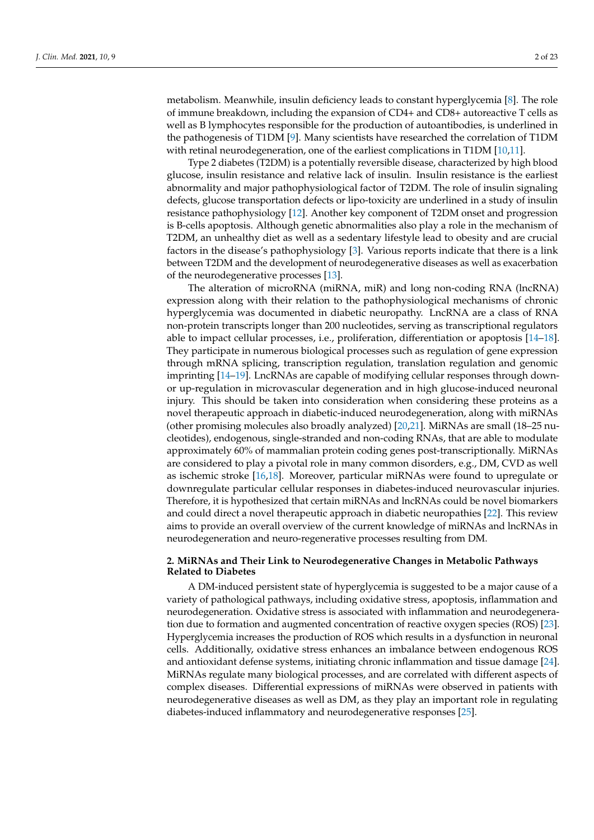metabolism. Meanwhile, insulin deficiency leads to constant hyperglycemia [\[8\]](#page-19-3). The role of immune breakdown, including the expansion of CD4+ and CD8+ autoreactive T cells as well as B lymphocytes responsible for the production of autoantibodies, is underlined in the pathogenesis of T1DM [\[9\]](#page-19-4). Many scientists have researched the correlation of T1DM with retinal neurodegeneration, one of the earliest complications in T1DM [\[10,](#page-19-5)[11\]](#page-19-6).

Type 2 diabetes (T2DM) is a potentially reversible disease, characterized by high blood glucose, insulin resistance and relative lack of insulin. Insulin resistance is the earliest abnormality and major pathophysiological factor of T2DM. The role of insulin signaling defects, glucose transportation defects or lipo-toxicity are underlined in a study of insulin resistance pathophysiology [\[12\]](#page-19-7). Another key component of T2DM onset and progression is B-cells apoptosis. Although genetic abnormalities also play a role in the mechanism of T2DM, an unhealthy diet as well as a sedentary lifestyle lead to obesity and are crucial factors in the disease's pathophysiology [\[3\]](#page-18-2). Various reports indicate that there is a link between T2DM and the development of neurodegenerative diseases as well as exacerbation of the neurodegenerative processes [\[13\]](#page-19-8).

The alteration of microRNA (miRNA, miR) and long non-coding RNA (lncRNA) expression along with their relation to the pathophysiological mechanisms of chronic hyperglycemia was documented in diabetic neuropathy. LncRNA are a class of RNA non-protein transcripts longer than 200 nucleotides, serving as transcriptional regulators able to impact cellular processes, i.e., proliferation, differentiation or apoptosis [\[14](#page-19-9)[–18\]](#page-19-10). They participate in numerous biological processes such as regulation of gene expression through mRNA splicing, transcription regulation, translation regulation and genomic imprinting [\[14–](#page-19-9)[19\]](#page-19-11). LncRNAs are capable of modifying cellular responses through downor up-regulation in microvascular degeneration and in high glucose-induced neuronal injury. This should be taken into consideration when considering these proteins as a novel therapeutic approach in diabetic-induced neurodegeneration, along with miRNAs (other promising molecules also broadly analyzed) [\[20](#page-19-12)[,21\]](#page-19-13). MiRNAs are small (18–25 nucleotides), endogenous, single-stranded and non-coding RNAs, that are able to modulate approximately 60% of mammalian protein coding genes post-transcriptionally. MiRNAs are considered to play a pivotal role in many common disorders, e.g., DM, CVD as well as ischemic stroke [\[16](#page-19-14)[,18\]](#page-19-10). Moreover, particular miRNAs were found to upregulate or downregulate particular cellular responses in diabetes-induced neurovascular injuries. Therefore, it is hypothesized that certain miRNAs and lncRNAs could be novel biomarkers and could direct a novel therapeutic approach in diabetic neuropathies [\[22\]](#page-19-15). This review aims to provide an overall overview of the current knowledge of miRNAs and lncRNAs in neurodegeneration and neuro-regenerative processes resulting from DM.

# **2. MiRNAs and Their Link to Neurodegenerative Changes in Metabolic Pathways Related to Diabetes**

A DM-induced persistent state of hyperglycemia is suggested to be a major cause of a variety of pathological pathways, including oxidative stress, apoptosis, inflammation and neurodegeneration. Oxidative stress is associated with inflammation and neurodegeneration due to formation and augmented concentration of reactive oxygen species (ROS) [\[23\]](#page-19-16). Hyperglycemia increases the production of ROS which results in a dysfunction in neuronal cells. Additionally, oxidative stress enhances an imbalance between endogenous ROS and antioxidant defense systems, initiating chronic inflammation and tissue damage [\[24\]](#page-19-17). MiRNAs regulate many biological processes, and are correlated with different aspects of complex diseases. Differential expressions of miRNAs were observed in patients with neurodegenerative diseases as well as DM, as they play an important role in regulating diabetes-induced inflammatory and neurodegenerative responses [\[25\]](#page-19-18).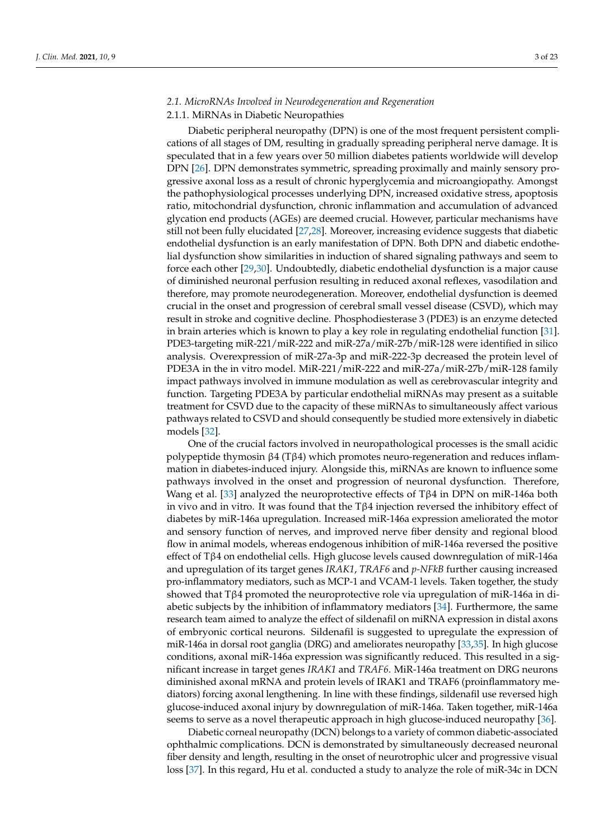# *2.1. MicroRNAs Involved in Neurodegeneration and Regeneration*

#### 2.1.1. MiRNAs in Diabetic Neuropathies

Diabetic peripheral neuropathy (DPN) is one of the most frequent persistent complications of all stages of DM, resulting in gradually spreading peripheral nerve damage. It is speculated that in a few years over 50 million diabetes patients worldwide will develop DPN [\[26\]](#page-19-19). DPN demonstrates symmetric, spreading proximally and mainly sensory progressive axonal loss as a result of chronic hyperglycemia and microangiopathy. Amongst the pathophysiological processes underlying DPN, increased oxidative stress, apoptosis ratio, mitochondrial dysfunction, chronic inflammation and accumulation of advanced glycation end products (AGEs) are deemed crucial. However, particular mechanisms have still not been fully elucidated [\[27,](#page-19-20)[28\]](#page-19-21). Moreover, increasing evidence suggests that diabetic endothelial dysfunction is an early manifestation of DPN. Both DPN and diabetic endothelial dysfunction show similarities in induction of shared signaling pathways and seem to force each other [\[29,](#page-19-22)[30\]](#page-19-23). Undoubtedly, diabetic endothelial dysfunction is a major cause of diminished neuronal perfusion resulting in reduced axonal reflexes, vasodilation and therefore, may promote neurodegeneration. Moreover, endothelial dysfunction is deemed crucial in the onset and progression of cerebral small vessel disease (CSVD), which may result in stroke and cognitive decline. Phosphodiesterase 3 (PDE3) is an enzyme detected in brain arteries which is known to play a key role in regulating endothelial function [\[31\]](#page-20-0). PDE3-targeting miR-221/miR-222 and miR-27a/miR-27b/miR-128 were identified in silico analysis. Overexpression of miR-27a-3p and miR-222-3p decreased the protein level of PDE3A in the in vitro model. MiR-221/miR-222 and miR-27a/miR-27b/miR-128 family impact pathways involved in immune modulation as well as cerebrovascular integrity and function. Targeting PDE3A by particular endothelial miRNAs may present as a suitable treatment for CSVD due to the capacity of these miRNAs to simultaneously affect various pathways related to CSVD and should consequently be studied more extensively in diabetic models [\[32\]](#page-20-1).

One of the crucial factors involved in neuropathological processes is the small acidic polypeptide thymosin β4 (Tβ4) which promotes neuro-regeneration and reduces inflammation in diabetes-induced injury. Alongside this, miRNAs are known to influence some pathways involved in the onset and progression of neuronal dysfunction. Therefore, Wang et al. [\[33\]](#page-20-2) analyzed the neuroprotective effects of Tβ4 in DPN on miR-146a both in vivo and in vitro. It was found that the Tβ4 injection reversed the inhibitory effect of diabetes by miR-146a upregulation. Increased miR-146a expression ameliorated the motor and sensory function of nerves, and improved nerve fiber density and regional blood flow in animal models, whereas endogenous inhibition of miR-146a reversed the positive effect of Tβ4 on endothelial cells. High glucose levels caused downregulation of miR-146a and upregulation of its target genes *IRAK1*, *TRAF6* and *p-NFkB* further causing increased pro-inflammatory mediators, such as MCP-1 and VCAM-1 levels. Taken together, the study showed that Tβ4 promoted the neuroprotective role via upregulation of miR-146a in diabetic subjects by the inhibition of inflammatory mediators [\[34\]](#page-20-3). Furthermore, the same research team aimed to analyze the effect of sildenafil on miRNA expression in distal axons of embryonic cortical neurons. Sildenafil is suggested to upregulate the expression of miR-146a in dorsal root ganglia (DRG) and ameliorates neuropathy [\[33,](#page-20-2)[35\]](#page-20-4). In high glucose conditions, axonal miR-146a expression was significantly reduced. This resulted in a significant increase in target genes *IRAK1* and *TRAF6*. MiR-146a treatment on DRG neurons diminished axonal mRNA and protein levels of IRAK1 and TRAF6 (proinflammatory mediators) forcing axonal lengthening. In line with these findings, sildenafil use reversed high glucose-induced axonal injury by downregulation of miR-146a. Taken together, miR-146a seems to serve as a novel therapeutic approach in high glucose-induced neuropathy [\[36\]](#page-20-5).

Diabetic corneal neuropathy (DCN) belongs to a variety of common diabetic-associated ophthalmic complications. DCN is demonstrated by simultaneously decreased neuronal fiber density and length, resulting in the onset of neurotrophic ulcer and progressive visual loss [\[37\]](#page-20-6). In this regard, Hu et al. conducted a study to analyze the role of miR-34c in DCN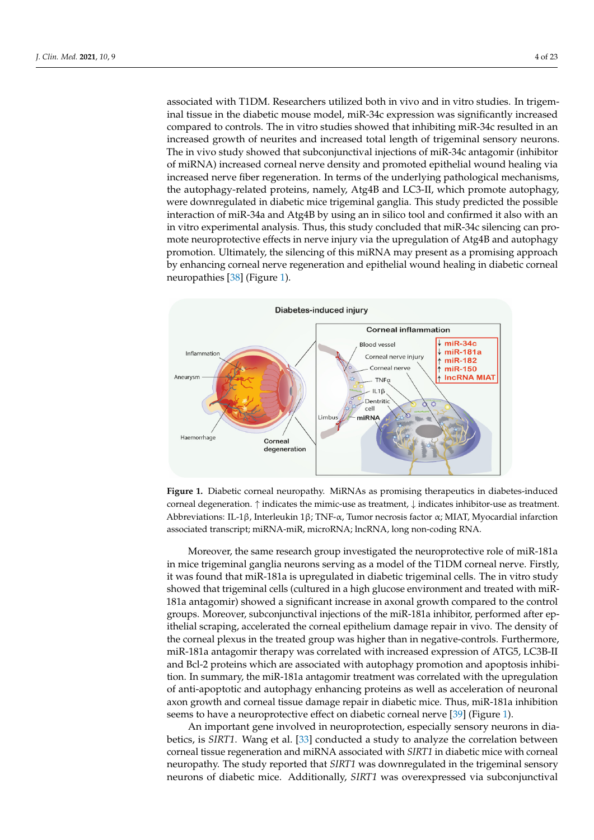associated with T1DM. Researchers utilized both in vivo and in vitro studies. In trigeminal tissue in the diabetic mouse model, miR-34c expression was significantly increased compared to controls. The in vitro studies showed that inhibiting miR-34c resulted in an increased growth of neurites and increased total length of trigeminal sensory neurons. The in vivo study showed that subconjunctival injections of miR-34c antagomir (inhibitor of miRNA) increased corneal nerve density and promoted epithelial wound healing via increased nerve fiber regeneration. In terms of the underlying pathological mechanisms, the autophagy-related proteins, namely, Atg4B and LC3-II, which promote autophagy, were downregulated in diabetic mice trigeminal ganglia. This study predicted the possible interaction of miR-34a and Atg4B by using an in silico tool and confirmed it also with an in vitro experimental analysis. Thus, this study concluded that miR-34c silencing can promote neuroprotective effects in nerve injury via the upregulation of Atg4B and autophagy promotion. Ultimately, the silencing of this miRNA may present as a promising approach by enhancing corneal nerve regeneration and epithelial wound healing in diabetic corneal neuropathies [\[38\]](#page-20-7) (Figure [1\)](#page-3-0). (Figure 1).

<span id="page-3-0"></span>

**Figure 1.** Diabetic corneal neuropathy. MiRNAs as promising therapeutics in diabetes-induced **Figure 1.** Diabetic corneal neuropathy. MiRNAs as promising therapeutics in diabetes-induced corneal degeneration. ↑ indicates the mimic-use as treatment, ↓ indicates inhibitor-use as treatment. Abbreviations: IL-1β, Interleukin 1β; TNF-α, Tumor necrosis factor α; MIAT, Myocardial infarction associated transcript; miRNA-miR, microRNA; lncRNA, long non-coding RNA.

in mice trigeminal ganglia neurons serving as a model of the T1DM corneal nerve. Firstly, it was found that miR-181a is upregulated in diabetic trigeminal cells. The in vitro study showed that trigeminal cells (cultured in a high glucose environment and treated with miR-181a antagomir) showed a significant increase in axonal growth compared to the control groups. Moreover, subconjunctival injections of the miR-181a inhibitor, performed after epithelial scraping, accelerated the corneal epithelium damage repair in vivo. The density of the corneal plexus in the treated group was higher than in negative-controls. Furthermore, miR-181a antagomir therapy was correlated with increased expression of ATG5, LC3B-II Moreover, the same research group investigated the neuroprotective role of miR-181a and Bcl-2 proteins which are associated with autophagy promotion and apoptosis inhibition. In summary, the miR-181a antagomir treatment was correlated with the upregulation of anti-apoptotic and autophagy enhancing proteins as well as acceleration of neuronal axon growth and corneal tissue damage repair in diabetic mice. Thus, miR-181a inhibition seems to have a neuroprotective effect on diabetic corneal nerve [\[39\]](#page-20-8) (Figure [1\)](#page-3-0).

An important gene involved in neuroprotection, especially sensory neurons in diabetics, is *SIRT1*. Wang et al. [\[33\]](#page-20-2) conducted a study to analyze the correlation between corneal tissue regeneration and miRNA associated with *SIRT1* in diabetic mice with corneal neuropathy. The study reported that *SIRT1* was downregulated in the trigeminal sensory neurons of diabetic mice. Additionally, *SIRT1* was overexpressed via subconjunctival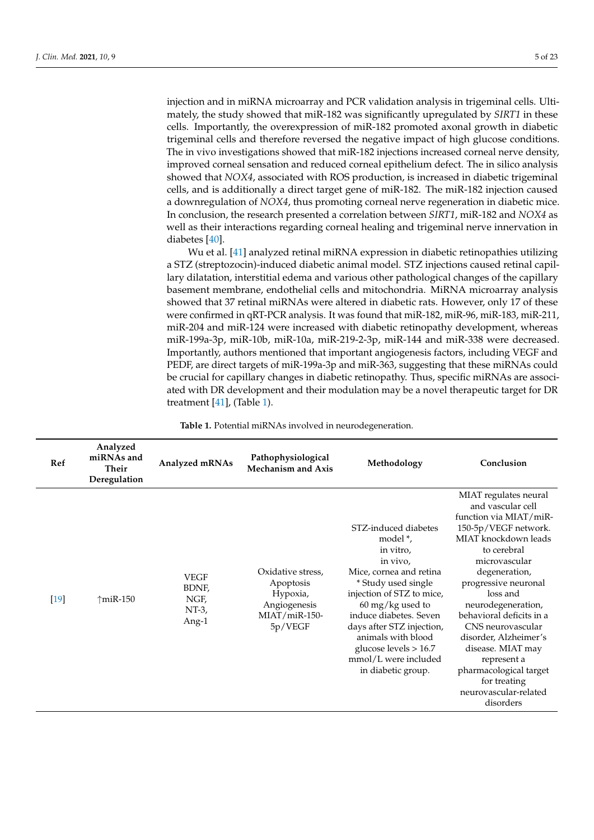injection and in miRNA microarray and PCR validation analysis in trigeminal cells. Ultimately, the study showed that miR-182 was significantly upregulated by *SIRT1* in these cells. Importantly, the overexpression of miR-182 promoted axonal growth in diabetic trigeminal cells and therefore reversed the negative impact of high glucose conditions. The in vivo investigations showed that miR-182 injections increased corneal nerve density, improved corneal sensation and reduced corneal epithelium defect. The in silico analysis showed that *NOX4*, associated with ROS production, is increased in diabetic trigeminal cells, and is additionally a direct target gene of miR-182. The miR-182 injection caused a downregulation of *NOX4*, thus promoting corneal nerve regeneration in diabetic mice. In conclusion, the research presented a correlation between *SIRT1*, miR-182 and *NOX4* as well as their interactions regarding corneal healing and trigeminal nerve innervation in diabetes [\[40\]](#page-20-9).

Wu et al. [\[41\]](#page-20-10) analyzed retinal miRNA expression in diabetic retinopathies utilizing a STZ (streptozocin)-induced diabetic animal model. STZ injections caused retinal capillary dilatation, interstitial edema and various other pathological changes of the capillary basement membrane, endothelial cells and mitochondria. MiRNA microarray analysis showed that 37 retinal miRNAs were altered in diabetic rats. However, only 17 of these were confirmed in qRT-PCR analysis. It was found that miR-182, miR-96, miR-183, miR-211, miR-204 and miR-124 were increased with diabetic retinopathy development, whereas miR-199a-3p, miR-10b, miR-10a, miR-219-2-3p, miR-144 and miR-338 were decreased. Importantly, authors mentioned that important angiogenesis factors, including VEGF and PEDF, are direct targets of miR-199a-3p and miR-363, suggesting that these miRNAs could be crucial for capillary changes in diabetic retinopathy. Thus, specific miRNAs are associated with DR development and their modulation may be a novel therapeutic target for DR treatment [\[41\]](#page-20-10), (Table [1\)](#page-9-0).

**Table 1.** Potential miRNAs involved in neurodegeneration.

| Ref    | Analyzed<br>miRNAs and<br><b>Their</b><br>Deregulation | Analyzed mRNAs                                    | Pathophysiological<br><b>Mechanism and Axis</b>                                        | Methodology                                                                                                                                                                                                                                                                                                                     | Conclusion                                                                                                                                                                                                                                                                                                                                                                                                                    |
|--------|--------------------------------------------------------|---------------------------------------------------|----------------------------------------------------------------------------------------|---------------------------------------------------------------------------------------------------------------------------------------------------------------------------------------------------------------------------------------------------------------------------------------------------------------------------------|-------------------------------------------------------------------------------------------------------------------------------------------------------------------------------------------------------------------------------------------------------------------------------------------------------------------------------------------------------------------------------------------------------------------------------|
| $[19]$ | $\uparrow$ miR-150                                     | <b>VEGF</b><br>BDNF,<br>NGF,<br>$NT-3$ ,<br>Ang-1 | Oxidative stress,<br>Apoptosis<br>Hypoxia,<br>Angiogenesis<br>MIAT/miR-150-<br>5p/VEGF | STZ-induced diabetes<br>model *,<br>in vitro,<br>in vivo,<br>Mice, cornea and retina<br>* Study used single<br>injection of STZ to mice,<br>$60 \,\mathrm{mg/kg}$ used to<br>induce diabetes. Seven<br>days after STZ injection,<br>animals with blood<br>glucose levels $> 16.7$<br>mmol/L were included<br>in diabetic group. | MIAT regulates neural<br>and vascular cell<br>function via MIAT/miR-<br>150-5p/VEGF network.<br>MIAT knockdown leads<br>to cerebral<br>microvascular<br>degeneration,<br>progressive neuronal<br>loss and<br>neurodegeneration,<br>behavioral deficits in a<br>CNS neurovascular<br>disorder, Alzheimer's<br>disease. MIAT may<br>represent a<br>pharmacological target<br>for treating<br>neurovascular-related<br>disorders |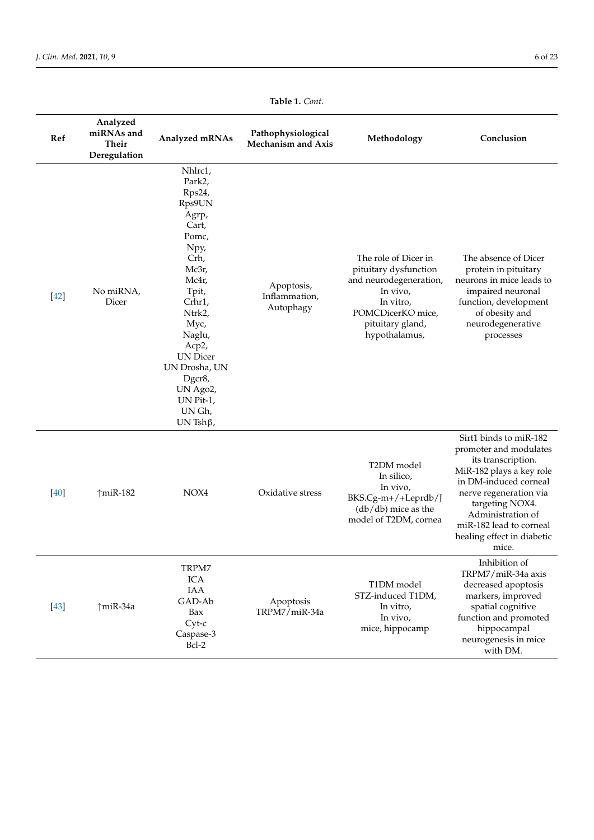| Ref    | Analyzed<br>miRNAs and<br><b>Their</b><br>Deregulation | Analyzed mRNAs                                                                                                                                                                                                                                                  | Pathophysiological<br><b>Mechanism and Axis</b> | Methodology                                                                                                                                                | Conclusion                                                                                                                                                                                                                                                      |
|--------|--------------------------------------------------------|-----------------------------------------------------------------------------------------------------------------------------------------------------------------------------------------------------------------------------------------------------------------|-------------------------------------------------|------------------------------------------------------------------------------------------------------------------------------------------------------------|-----------------------------------------------------------------------------------------------------------------------------------------------------------------------------------------------------------------------------------------------------------------|
| $[42]$ | No miRNA,<br>Dicer                                     | Nhlrc1,<br>Park2,<br>Rps24,<br>Rps9UN<br>Agrp,<br>Cart,<br>Pomc,<br>Npy,<br>Crh,<br>Mc3r,<br>Mc4r,<br>Tpit,<br>Crhr1,<br>Ntrk2,<br>Myc,<br>Naglu,<br>Acp2,<br><b>UN</b> Dicer<br>UN Drosha, UN<br>Dgcr8,<br>UN Ago2,<br>UN Pit-1,<br>UN Gh,<br>UN Tsh $\beta$ , | Apoptosis,<br>Inflammation,<br>Autophagy        | The role of Dicer in<br>pituitary dysfunction<br>and neurodegeneration,<br>In vivo,<br>In vitro,<br>POMCDicerKO mice,<br>pituitary gland,<br>hypothalamus, | The absence of Dicer<br>protein in pituitary<br>neurons in mice leads to<br>impaired neuronal<br>function, development<br>of obesity and<br>neurodegenerative<br>processes                                                                                      |
| [40]   | $\uparrow$ miR-182                                     | NOX4                                                                                                                                                                                                                                                            | Oxidative stress                                | T2DM model<br>In silico,<br>In vivo,<br>BKS.Cg-m+/+Leprdb/J<br>$(db/db)$ mice as the<br>model of T2DM, cornea                                              | Sirt1 binds to miR-182<br>promoter and modulates<br>its transcription.<br>MiR-182 plays a key role<br>in DM-induced corneal<br>nerve regeneration via<br>targeting NOX4.<br>Administration of<br>miR-182 lead to corneal<br>healing effect in diabetic<br>mice. |
| $[43]$ | $\uparrow$ miR-34a                                     | TRPM7<br>ICA<br>IAA<br>GAD-Ab<br>Bax<br>$Cyt-c$<br>Caspase-3<br>Bcl-2                                                                                                                                                                                           | Apoptosis<br>TRPM7/miR-34a                      | T1DM model<br>STZ-induced T1DM,<br>In vitro,<br>In vivo,<br>mice, hippocamp                                                                                | Inhibition of<br>TRPM7/miR-34a axis<br>decreased apoptosis<br>markers, improved<br>spatial cognitive<br>function and promoted<br>hippocampal<br>neurogenesis in mice<br>with DM.                                                                                |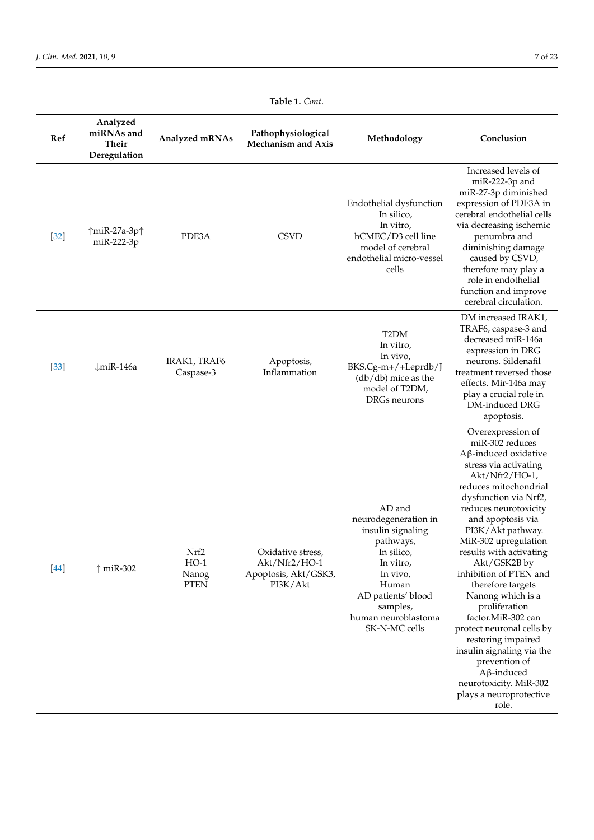| Ref    | Analyzed<br>miRNAs and<br><b>Their</b><br>Deregulation | Analyzed mRNAs                         | Pathophysiological<br><b>Mechanism and Axis</b>                        | Methodology                                                                                                                                                                                | Conclusion                                                                                                                                                                                                                                                                                                                                                                                                                                                                                                                                                                                            |
|--------|--------------------------------------------------------|----------------------------------------|------------------------------------------------------------------------|--------------------------------------------------------------------------------------------------------------------------------------------------------------------------------------------|-------------------------------------------------------------------------------------------------------------------------------------------------------------------------------------------------------------------------------------------------------------------------------------------------------------------------------------------------------------------------------------------------------------------------------------------------------------------------------------------------------------------------------------------------------------------------------------------------------|
| $[32]$ | ↑miR-27a-3p↑<br>miR-222-3p                             | PDE3A                                  | <b>CSVD</b>                                                            | Endothelial dysfunction<br>In silico,<br>In vitro,<br>hCMEC/D3 cell line<br>model of cerebral<br>endothelial micro-vessel<br>cells                                                         | Increased levels of<br>miR-222-3p and<br>miR-27-3p diminished<br>expression of PDE3A in<br>cerebral endothelial cells<br>via decreasing ischemic<br>penumbra and<br>diminishing damage<br>caused by CSVD,<br>therefore may play a<br>role in endothelial<br>function and improve<br>cerebral circulation.                                                                                                                                                                                                                                                                                             |
| $[33]$ | $\downarrow$ miR-146a                                  | IRAK1, TRAF6<br>Caspase-3              | Apoptosis,<br>Inflammation                                             | T <sub>2</sub> DM<br>In vitro,<br>In vivo,<br>BKS.Cg-m+/+Leprdb/J<br>$(db/db)$ mice as the<br>model of T2DM,<br>DRGs neurons                                                               | DM increased IRAK1,<br>TRAF6, caspase-3 and<br>decreased miR-146a<br>expression in DRG<br>neurons. Sildenafil<br>treatment reversed those<br>effects. Mir-146a may<br>play a crucial role in<br>DM-induced DRG<br>apoptosis.                                                                                                                                                                                                                                                                                                                                                                          |
| $[44]$ | $\uparrow$ miR-302                                     | Nrf2<br>$HO-1$<br>Nanog<br><b>PTEN</b> | Oxidative stress,<br>Akt/Nfr2/HO-1<br>Apoptosis, Akt/GSK3,<br>PI3K/Akt | AD and<br>neurodegeneration in<br>insulin signaling<br>pathways,<br>In silico,<br>In vitro,<br>In vivo,<br>Human<br>AD patients' blood<br>samples,<br>human neuroblastoma<br>SK-N-MC cells | Overexpression of<br>miR-302 reduces<br>$A\beta$ -induced oxidative<br>stress via activating<br>Akt/Nfr2/HO-1,<br>reduces mitochondrial<br>dysfunction via Nrf2,<br>reduces neurotoxicity<br>and apoptosis via<br>PI3K/Akt pathway.<br>MiR-302 upregulation<br>results with activating<br>Akt/GSK2B by<br>inhibition of PTEN and<br>therefore targets<br>Nanong which is a<br>proliferation<br>factor.MiR-302 can<br>protect neuronal cells by<br>restoring impaired<br>insulin signaling via the<br>prevention of<br>$A\beta$ -induced<br>neurotoxicity. MiR-302<br>plays a neuroprotective<br>role. |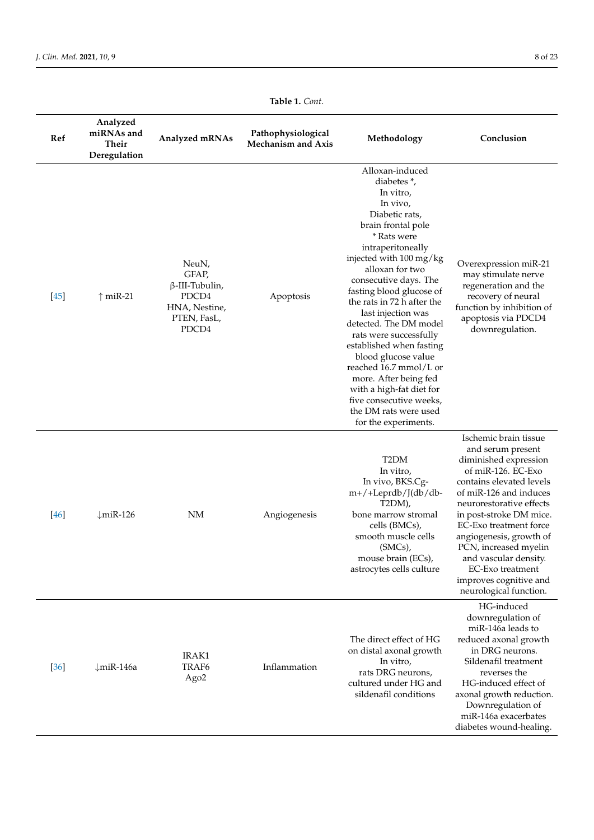| Ref    | Analyzed<br>miRNAs and<br>Their<br>Deregulation | Analyzed mRNAs                                                                            | Pathophysiological<br><b>Mechanism and Axis</b> | Methodology                                                                                                                                                                                                                                                                                                                                                                                                                                                                                                                                                              | Conclusion                                                                                                                                                                                                                                                                                                                                                                            |
|--------|-------------------------------------------------|-------------------------------------------------------------------------------------------|-------------------------------------------------|--------------------------------------------------------------------------------------------------------------------------------------------------------------------------------------------------------------------------------------------------------------------------------------------------------------------------------------------------------------------------------------------------------------------------------------------------------------------------------------------------------------------------------------------------------------------------|---------------------------------------------------------------------------------------------------------------------------------------------------------------------------------------------------------------------------------------------------------------------------------------------------------------------------------------------------------------------------------------|
| $[45]$ | $\uparrow$ miR-21                               | NeuN,<br>GFAP,<br>$\beta$ -III-Tubulin,<br>PDCD4<br>HNA, Nestine,<br>PTEN, FasL,<br>PDCD4 | Apoptosis                                       | Alloxan-induced<br>diabetes <sup>*</sup> ,<br>In vitro,<br>In vivo,<br>Diabetic rats,<br>brain frontal pole<br>* Rats were<br>intraperitoneally<br>injected with 100 mg/kg<br>alloxan for two<br>consecutive days. The<br>fasting blood glucose of<br>the rats in 72 h after the<br>last injection was<br>detected. The DM model<br>rats were successfully<br>established when fasting<br>blood glucose value<br>reached 16.7 mmol/L or<br>more. After being fed<br>with a high-fat diet for<br>five consecutive weeks,<br>the DM rats were used<br>for the experiments. | Overexpression miR-21<br>may stimulate nerve<br>regeneration and the<br>recovery of neural<br>function by inhibition of<br>apoptosis via PDCD4<br>downregulation.                                                                                                                                                                                                                     |
| $[46]$ | $\downarrow$ miR-126                            | NM                                                                                        | Angiogenesis                                    | T <sub>2</sub> DM<br>In vitro,<br>In vivo, BKS.Cg-<br>m+/+Leprdb/J(db/db-<br>T2DM),<br>bone marrow stromal<br>cells (BMCs),<br>smooth muscle cells<br>(SMCs),<br>mouse brain (ECs),<br>astrocytes cells culture                                                                                                                                                                                                                                                                                                                                                          | Ischemic brain tissue<br>and serum present<br>diminished expression<br>of miR-126. EC-Exo<br>contains elevated levels<br>of miR-126 and induces<br>neurorestorative effects<br>in post-stroke DM mice.<br>EC-Exo treatment force<br>angiogenesis, growth of<br>PCN, increased myelin<br>and vascular density.<br>EC-Exo treatment<br>improves cognitive and<br>neurological function. |
| $[36]$ | $\downarrow$ miR-146a                           | IRAK1<br>TRAF <sub>6</sub><br>Ago <sub>2</sub>                                            | Inflammation                                    | The direct effect of HG<br>on distal axonal growth<br>In vitro,<br>rats DRG neurons,<br>cultured under HG and<br>sildenafil conditions                                                                                                                                                                                                                                                                                                                                                                                                                                   | HG-induced<br>downregulation of<br>miR-146a leads to<br>reduced axonal growth<br>in DRG neurons.<br>Sildenafil treatment<br>reverses the<br>HG-induced effect of<br>axonal growth reduction.<br>Downregulation of<br>miR-146a exacerbates<br>diabetes wound-healing.                                                                                                                  |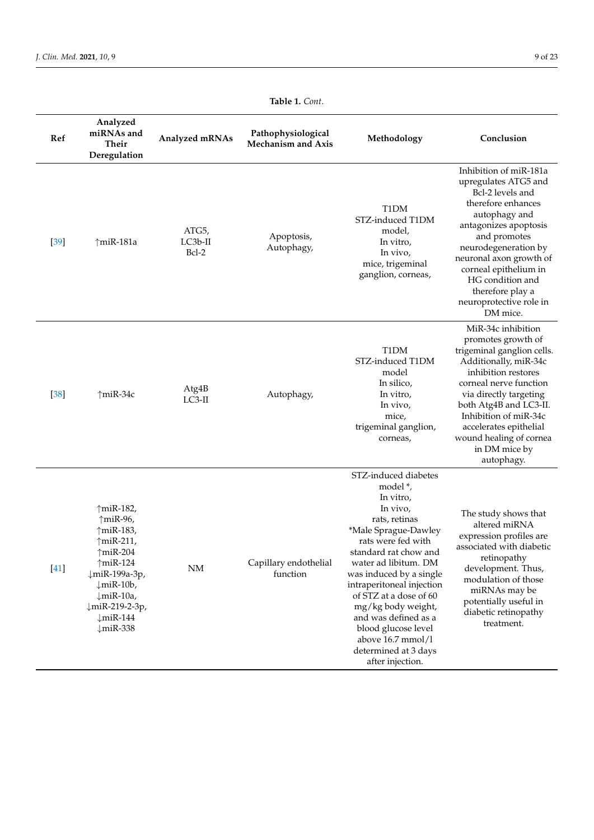| Ref    | Analyzed<br>miRNAs and<br>Their<br>Deregulation                                                                                                                                                                                                      | Analyzed mRNAs              | Pathophysiological<br><b>Mechanism and Axis</b> | Methodology                                                                                                                                                                                                                                                                                                                      | Conclusion                                                                                                                                                                                                                                                                                                        |
|--------|------------------------------------------------------------------------------------------------------------------------------------------------------------------------------------------------------------------------------------------------------|-----------------------------|-------------------------------------------------|----------------------------------------------------------------------------------------------------------------------------------------------------------------------------------------------------------------------------------------------------------------------------------------------------------------------------------|-------------------------------------------------------------------------------------------------------------------------------------------------------------------------------------------------------------------------------------------------------------------------------------------------------------------|
| $[39]$ | $\uparrow$ miR-181a                                                                                                                                                                                                                                  | ATG5,<br>$LC3b-II$<br>Bcl-2 | Apoptosis,<br>Autophagy,                        | T1DM<br>STZ-induced T1DM<br>model,<br>In vitro,<br>In vivo,<br>mice, trigeminal<br>ganglion, corneas,                                                                                                                                                                                                                            | Inhibition of miR-181a<br>upregulates ATG5 and<br>Bcl-2 levels and<br>therefore enhances<br>autophagy and<br>antagonizes apoptosis<br>and promotes<br>neurodegeneration by<br>neuronal axon growth of<br>corneal epithelium in<br>HG condition and<br>therefore play a<br>neuroprotective role in<br>DM mice.     |
| $[38]$ | $\uparrow$ miR-34c                                                                                                                                                                                                                                   | Atg4B<br>$LC3-II$           | Autophagy,                                      | T1DM<br>STZ-induced T1DM<br>model<br>In silico,<br>In vitro,<br>In vivo,<br>mice,<br>trigeminal ganglion,<br>corneas,                                                                                                                                                                                                            | MiR-34c inhibition<br>promotes growth of<br>trigeminal ganglion cells.<br>Additionally, miR-34c<br>inhibition restores<br>corneal nerve function<br>via directly targeting<br>both Atg4B and LC3-II.<br>Inhibition of miR-34c<br>accelerates epithelial<br>wound healing of cornea<br>in DM mice by<br>autophagy. |
| $[41]$ | $\uparrow$ miR-182,<br>$\uparrow$ miR-96,<br>↑miR-183,<br>↑miR-211,<br>$\uparrow$ miR-204<br>$\uparrow$ miR-124<br>↓miR-199a-3p,<br>$\downarrow$ miR-10b,<br>$\downarrow$ miR-10a,<br>↓miR-219-2-3p,<br>$\downarrow$ miR-144<br>$\downarrow$ miR-338 | $\rm{NM}$                   | Capillary endothelial<br>function               | STZ-induced diabetes<br>model *,<br>In vitro,<br>In vivo,<br>rats, retinas<br>*Male Sprague-Dawley<br>rats were fed with<br>standard rat chow and<br>water ad libitum. DM<br>was induced by a single<br>intraperitoneal injection<br>of STZ at a dose of 60<br>mg/kg body weight,<br>and was defined as a<br>blood glucose level | The study shows that<br>altered miRNA<br>expression profiles are<br>associated with diabetic<br>retinopathy<br>development. Thus,<br>modulation of those<br>miRNAs may be<br>potentially useful in<br>diabetic retinopathy<br>treatment.                                                                          |

above 16.7 mmol/l determined at 3 days after injection.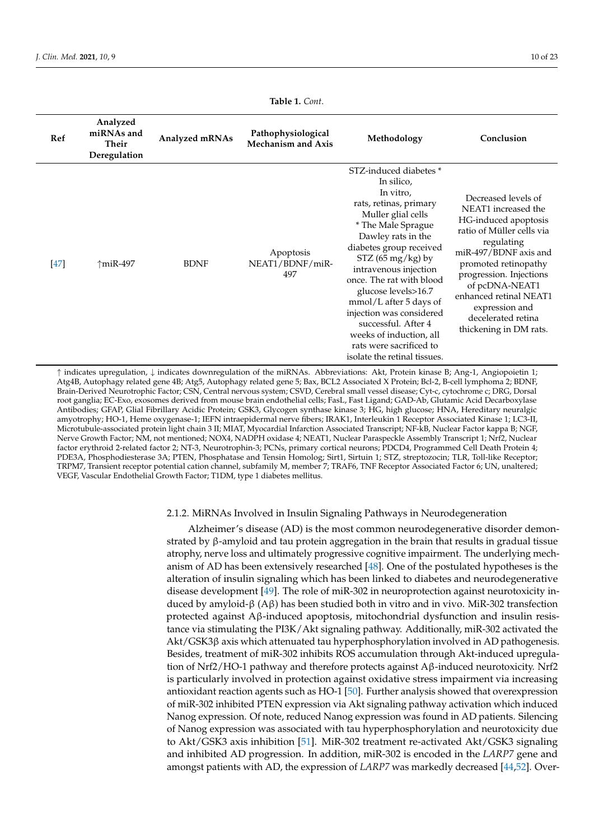<span id="page-9-0"></span>

| Ref    | Analyzed<br>miRNAs and<br><b>Their</b><br>Deregulation | Analyzed mRNAs | Pathophysiological<br><b>Mechanism and Axis</b> | Methodology                                                                                                                                                                                                                                                                                                                                                                                                                                    | Conclusion                                                                                                                                                                                                                                                                                              |
|--------|--------------------------------------------------------|----------------|-------------------------------------------------|------------------------------------------------------------------------------------------------------------------------------------------------------------------------------------------------------------------------------------------------------------------------------------------------------------------------------------------------------------------------------------------------------------------------------------------------|---------------------------------------------------------------------------------------------------------------------------------------------------------------------------------------------------------------------------------------------------------------------------------------------------------|
| $[47]$ | ↑miR-497                                               | <b>BDNF</b>    | Apoptosis<br>NEAT1/BDNF/miR-<br>497             | STZ-induced diabetes *<br>In silico,<br>In vitro,<br>rats, retinas, primary<br>Muller glial cells<br>* The Male Sprague<br>Dawley rats in the<br>diabetes group received<br>$STZ$ (65 mg/kg) by<br>intravenous injection<br>once. The rat with blood<br>glucose levels>16.7<br>mmol/L after 5 days of<br>injection was considered<br>successful. After 4<br>weeks of induction, all<br>rats were sacrificed to<br>isolate the retinal tissues. | Decreased levels of<br>NEAT1 increased the<br>HG-induced apoptosis<br>ratio of Müller cells via<br>regulating<br>miR-497/BDNF axis and<br>promoted retinopathy<br>progression. Injections<br>of pcDNA-NEAT1<br>enhanced retinal NEAT1<br>expression and<br>decelerated retina<br>thickening in DM rats. |

↑ indicates upregulation, ↓ indicates downregulation of the miRNAs. Abbreviations: Akt, Protein kinase B; Ang-1, Angiopoietin 1; Atg4B, Autophagy related gene 4B; Atg5, Autophagy related gene 5; Bax, BCL2 Associated X Protein; Bcl-2, B-cell lymphoma 2; BDNF, Brain-Derived Neurotrophic Factor; CSN, Central nervous system; CSVD, Cerebral small vessel disease; Cyt-c, cytochrome c; DRG, Dorsal root ganglia; EC-Exo, exosomes derived from mouse brain endothelial cells; FasL, Fast Ligand; GAD-Ab, Glutamic Acid Decarboxylase Antibodies; GFAP, Glial Fibrillary Acidic Protein; GSK3, Glycogen synthase kinase 3; HG, high glucose; HNA, Hereditary neuralgic amyotrophy; HO-1, Heme oxygenase-1; IEFN intraepidermal nerve fibers; IRAK1, Interleukin 1 Receptor Associated Kinase 1; LC3-II, Microtubule-associated protein light chain 3 II; MIAT, Myocardial Infarction Associated Transcript; NF-kB, Nuclear Factor kappa B; NGF, Nerve Growth Factor; NM, not mentioned; NOX4, NADPH oxidase 4; NEAT1, Nuclear Paraspeckle Assembly Transcript 1; Nrf2, Nuclear factor erythroid 2-related factor 2; NT-3, Neurotrophin-3; PCNs, primary cortical neurons; PDCD4, Programmed Cell Death Protein 4; PDE3A, Phosphodiesterase 3A; PTEN, Phosphatase and Tensin Homolog; Sirt1, Sirtuin 1; STZ, streptozocin; TLR, Toll-like Receptor; TRPM7, Transient receptor potential cation channel, subfamily M, member 7; TRAF6, TNF Receptor Associated Factor 6; UN, unaltered; VEGF, Vascular Endothelial Growth Factor; T1DM, type 1 diabetes mellitus.

#### 2.1.2. MiRNAs Involved in Insulin Signaling Pathways in Neurodegeneration

Alzheimer's disease (AD) is the most common neurodegenerative disorder demonstrated by β-amyloid and tau protein aggregation in the brain that results in gradual tissue atrophy, nerve loss and ultimately progressive cognitive impairment. The underlying mechanism of AD has been extensively researched [\[48\]](#page-20-17). One of the postulated hypotheses is the alteration of insulin signaling which has been linked to diabetes and neurodegenerative disease development [\[49\]](#page-20-18). The role of miR-302 in neuroprotection against neurotoxicity induced by amyloid-β (Aβ) has been studied both in vitro and in vivo. MiR-302 transfection protected against Aβ-induced apoptosis, mitochondrial dysfunction and insulin resistance via stimulating the PI3K/Akt signaling pathway. Additionally, miR-302 activated the Akt/GSK3β axis which attenuated tau hyperphosphorylation involved in AD pathogenesis. Besides, treatment of miR-302 inhibits ROS accumulation through Akt-induced upregulation of Nrf2/HO-1 pathway and therefore protects against Aβ-induced neurotoxicity. Nrf2 is particularly involved in protection against oxidative stress impairment via increasing antioxidant reaction agents such as HO-1 [\[50\]](#page-20-19). Further analysis showed that overexpression of miR-302 inhibited PTEN expression via Akt signaling pathway activation which induced Nanog expression. Of note, reduced Nanog expression was found in AD patients. Silencing of Nanog expression was associated with tau hyperphosphorylation and neurotoxicity due to Akt/GSK3 axis inhibition [\[51\]](#page-20-20). MiR-302 treatment re-activated Akt/GSK3 signaling and inhibited AD progression. In addition, miR-302 is encoded in the *LARP7* gene and amongst patients with AD, the expression of *LARP7* was markedly decreased [\[44](#page-20-13)[,52\]](#page-20-21). Over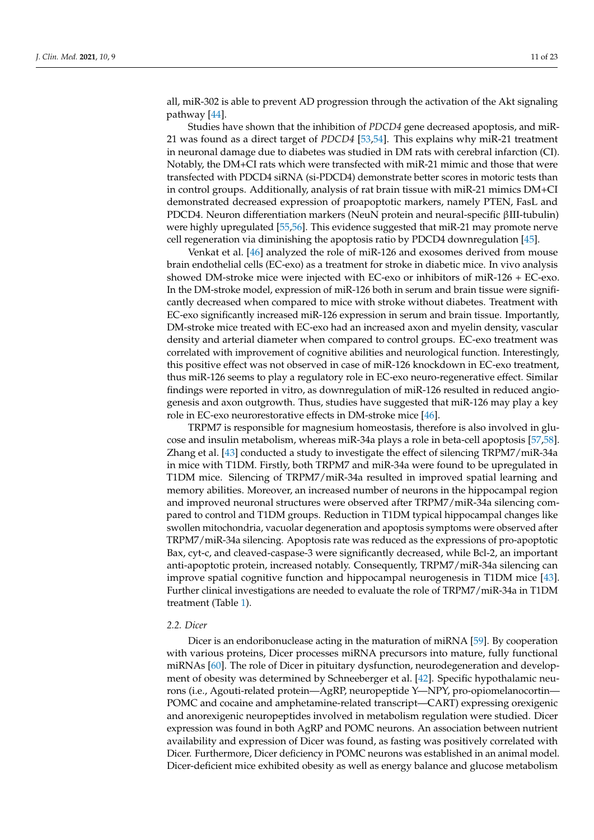all, miR-302 is able to prevent AD progression through the activation of the Akt signaling pathway [\[44\]](#page-20-13).

Studies have shown that the inhibition of *PDCD4* gene decreased apoptosis, and miR-21 was found as a direct target of *PDCD4* [\[53,](#page-20-22)[54\]](#page-20-23). This explains why miR-21 treatment in neuronal damage due to diabetes was studied in DM rats with cerebral infarction (CI). Notably, the DM+CI rats which were transfected with miR-21 mimic and those that were transfected with PDCD4 siRNA (si-PDCD4) demonstrate better scores in motoric tests than in control groups. Additionally, analysis of rat brain tissue with miR-21 mimics DM+CI demonstrated decreased expression of proapoptotic markers, namely PTEN, FasL and PDCD4. Neuron differentiation markers (NeuN protein and neural-specific βIII-tubulin) were highly upregulated [\[55](#page-20-24)[,56\]](#page-20-25). This evidence suggested that miR-21 may promote nerve cell regeneration via diminishing the apoptosis ratio by PDCD4 downregulation [\[45\]](#page-20-14).

Venkat et al. [\[46\]](#page-20-15) analyzed the role of miR-126 and exosomes derived from mouse brain endothelial cells (EC-exo) as a treatment for stroke in diabetic mice. In vivo analysis showed DM-stroke mice were injected with EC-exo or inhibitors of miR-126 + EC-exo. In the DM-stroke model, expression of miR-126 both in serum and brain tissue were significantly decreased when compared to mice with stroke without diabetes. Treatment with EC-exo significantly increased miR-126 expression in serum and brain tissue. Importantly, DM-stroke mice treated with EC-exo had an increased axon and myelin density, vascular density and arterial diameter when compared to control groups. EC-exo treatment was correlated with improvement of cognitive abilities and neurological function. Interestingly, this positive effect was not observed in case of miR-126 knockdown in EC-exo treatment, thus miR-126 seems to play a regulatory role in EC-exo neuro-regenerative effect. Similar findings were reported in vitro, as downregulation of miR-126 resulted in reduced angiogenesis and axon outgrowth. Thus, studies have suggested that miR-126 may play a key role in EC-exo neurorestorative effects in DM-stroke mice [\[46\]](#page-20-15).

TRPM7 is responsible for magnesium homeostasis, therefore is also involved in glucose and insulin metabolism, whereas miR-34a plays a role in beta-cell apoptosis [\[57,](#page-21-0)[58\]](#page-21-1). Zhang et al. [\[43\]](#page-20-12) conducted a study to investigate the effect of silencing TRPM7/miR-34a in mice with T1DM. Firstly, both TRPM7 and miR-34a were found to be upregulated in T1DM mice. Silencing of TRPM7/miR-34a resulted in improved spatial learning and memory abilities. Moreover, an increased number of neurons in the hippocampal region and improved neuronal structures were observed after TRPM7/miR-34a silencing compared to control and T1DM groups. Reduction in T1DM typical hippocampal changes like swollen mitochondria, vacuolar degeneration and apoptosis symptoms were observed after TRPM7/miR-34a silencing. Apoptosis rate was reduced as the expressions of pro-apoptotic Bax, cyt-c, and cleaved-caspase-3 were significantly decreased, while Bcl-2, an important anti-apoptotic protein, increased notably. Consequently, TRPM7/miR-34a silencing can improve spatial cognitive function and hippocampal neurogenesis in T1DM mice [\[43\]](#page-20-12). Further clinical investigations are needed to evaluate the role of TRPM7/miR-34a in T1DM treatment (Table [1\)](#page-9-0).

#### *2.2. Dicer*

Dicer is an endoribonuclease acting in the maturation of miRNA [\[59\]](#page-21-2). By cooperation with various proteins, Dicer processes miRNA precursors into mature, fully functional miRNAs [\[60\]](#page-21-3). The role of Dicer in pituitary dysfunction, neurodegeneration and development of obesity was determined by Schneeberger et al. [\[42\]](#page-20-11). Specific hypothalamic neurons (i.e., Agouti-related protein—AgRP, neuropeptide Y—NPY, pro-opiomelanocortin— POMC and cocaine and amphetamine-related transcript—CART) expressing orexigenic and anorexigenic neuropeptides involved in metabolism regulation were studied. Dicer expression was found in both AgRP and POMC neurons. An association between nutrient availability and expression of Dicer was found, as fasting was positively correlated with Dicer. Furthermore, Dicer deficiency in POMC neurons was established in an animal model. Dicer-deficient mice exhibited obesity as well as energy balance and glucose metabolism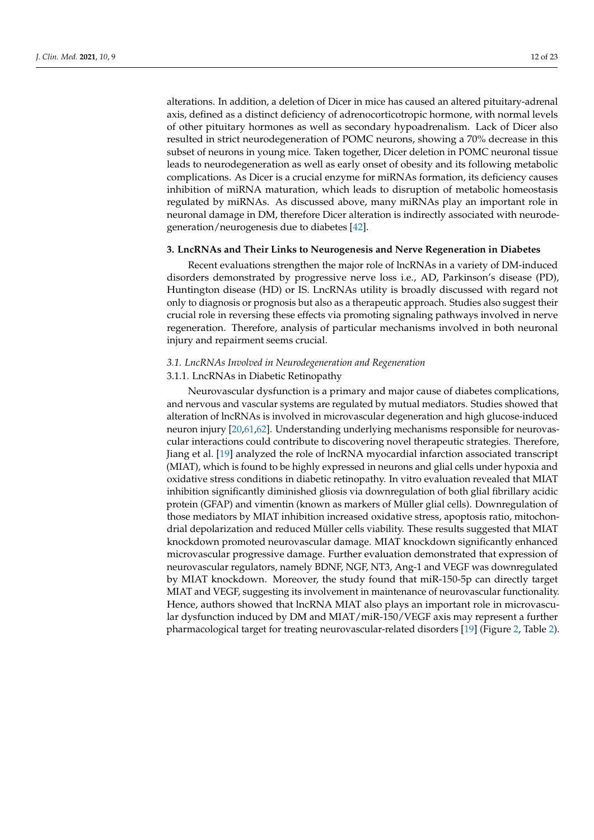alterations. In addition, a deletion of Dicer in mice has caused an altered pituitary-adrenal axis, defined as a distinct deficiency of adrenocorticotropic hormone, with normal levels of other pituitary hormones as well as secondary hypoadrenalism. Lack of Dicer also resulted in strict neurodegeneration of POMC neurons, showing a 70% decrease in this subset of neurons in young mice. Taken together, Dicer deletion in POMC neuronal tissue leads to neurodegeneration as well as early onset of obesity and its following metabolic complications. As Dicer is a crucial enzyme for miRNAs formation, its deficiency causes inhibition of miRNA maturation, which leads to disruption of metabolic homeostasis regulated by miRNAs. As discussed above, many miRNAs play an important role in neuronal damage in DM, therefore Dicer alteration is indirectly associated with neurodegeneration/neurogenesis due to diabetes [\[42\]](#page-20-11).

#### **3. LncRNAs and Their Links to Neurogenesis and Nerve Regeneration in Diabetes**

Recent evaluations strengthen the major role of lncRNAs in a variety of DM-induced disorders demonstrated by progressive nerve loss i.e., AD, Parkinson's disease (PD), Huntington disease (HD) or IS. LncRNAs utility is broadly discussed with regard not only to diagnosis or prognosis but also as a therapeutic approach. Studies also suggest their crucial role in reversing these effects via promoting signaling pathways involved in nerve regeneration. Therefore, analysis of particular mechanisms involved in both neuronal injury and repairment seems crucial.

## *3.1. LncRNAs Involved in Neurodegeneration and Regeneration*

## 3.1.1. LncRNAs in Diabetic Retinopathy

Neurovascular dysfunction is a primary and major cause of diabetes complications, and nervous and vascular systems are regulated by mutual mediators. Studies showed that alteration of lncRNAs is involved in microvascular degeneration and high glucose-induced neuron injury [\[20](#page-19-12)[,61](#page-21-4)[,62\]](#page-21-5). Understanding underlying mechanisms responsible for neurovascular interactions could contribute to discovering novel therapeutic strategies. Therefore, Jiang et al. [\[19\]](#page-19-11) analyzed the role of lncRNA myocardial infarction associated transcript (MIAT), which is found to be highly expressed in neurons and glial cells under hypoxia and oxidative stress conditions in diabetic retinopathy. In vitro evaluation revealed that MIAT inhibition significantly diminished gliosis via downregulation of both glial fibrillary acidic protein (GFAP) and vimentin (known as markers of Müller glial cells). Downregulation of those mediators by MIAT inhibition increased oxidative stress, apoptosis ratio, mitochondrial depolarization and reduced Müller cells viability. These results suggested that MIAT knockdown promoted neurovascular damage. MIAT knockdown significantly enhanced microvascular progressive damage. Further evaluation demonstrated that expression of neurovascular regulators, namely BDNF, NGF, NT3, Ang-1 and VEGF was downregulated by MIAT knockdown. Moreover, the study found that miR-150-5p can directly target MIAT and VEGF, suggesting its involvement in maintenance of neurovascular functionality. Hence, authors showed that lncRNA MIAT also plays an important role in microvascular dysfunction induced by DM and MIAT/miR-150/VEGF axis may represent a further pharmacological target for treating neurovascular-related disorders [\[19\]](#page-19-11) (Figure [2,](#page-12-0) Table [2\)](#page-15-0).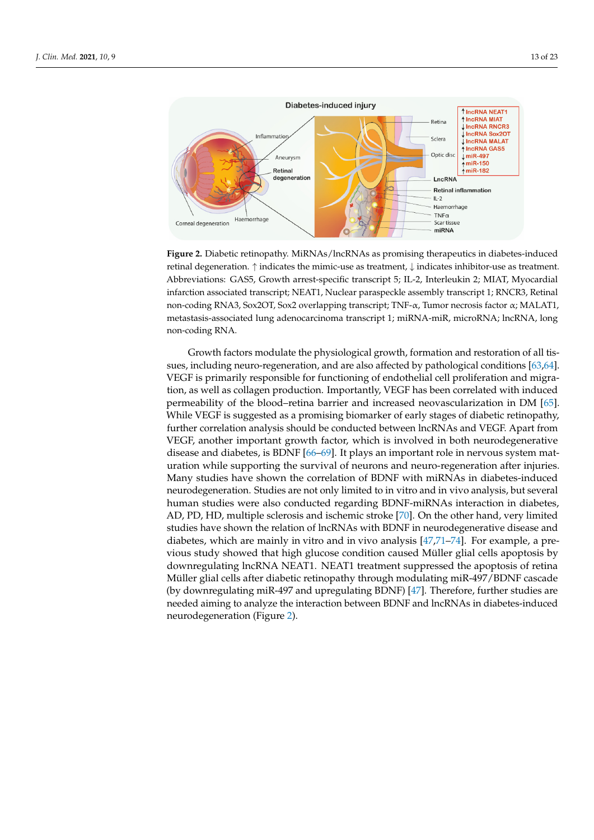<span id="page-12-0"></span>

**Figure 2.** Diabetic retinopathy. MiRNAs/lncRNAs as promising therapeutics in diabetes-induced **Figure 2.** Diabetic retinopathy. MiRNAs/lncRNAs as promising therapeutics in diabetes-induced retinal degeneration. ↑ indicates the mimic-use as treatment, ↓ indicates inhibitor-use as treatment. retinal degeneration. ↑ indicates the mimic-use as treatment, ↓ indicates inhibitor-use as treatment. Abbreviations: GAS5, Growth arrest-specific transcript 5; IL-2, Interleukin 2; MIAT, Myocardial infarction associated transcript; NEAT1, Nuclear paraspeckle assembly transcript 1; RNCR3, Retinal non-coding RNA3, Sox2OT, Sox2 overlapping transcript; TNF-α, Tumor necrosis factor α; MALAT1, metastasis-associated lung adenocarcinoma transcript 1; miRNA-miR, microRNA; lncRNA, long non-coding RNA.

Growth factors modulate the physiological growth, formation and restoration of all Growth factors modulate the physiological growth, formation and restoration of all tissues, including neuro-regeneration, and are also affected by pathological conditi[ons](#page-21-6) [63[,64\]](#page-21-7). [63,64]. VEGF is primarily responsible for functioning of endothelial cell proliferation and VEGF is primarily responsible for functioning of endothelial cell proliferation and migration, as well as collagen production. Importantly, VEGF has been correlated with induced permeability of the blood–retina barrier and increased neovascularization in DM [\[65\]](#page-21-8). While VEGF is suggested as a promising biomarker of early stages of diabetic retinopathy, further correlation analysis should be conducted between lncRNAs and VEGF. Apart from VEGF, another important growth factor, which is involved in both neurodegenerative disease and diabetes, is BDNF  $[66–69]$  $[66–69]$ . It plays an important role in nervous system maturation while supporting the survival of neurons and neuro-regeneration after injuries. Many studies have shown the correlation of BDNF with miRNAs in diabetes-induced neurodegeneration. Studies are not only limited to in vitro and in vivo analysis, but several human studies were also conducted regarding BDNF-miRNAs interaction in diabetes, AD, PD, HD, multiple sclerosis and ischemic stroke [\[70\]](#page-21-11). On the other hand, very limited studies have shown the relation of lncRNAs with BDNF in neurodegenerative disease and diabetes, which are mainly in vitro and in vivo analysis  $[47,71-74]$  $[47,71-74]$  $[47,71-74]$ . For example, a prea previous study showed that high glucose condition caused Müller glial cells apoptosis vious study showed that high glucose condition caused Müller glial cells apoptosis by by downregulating lncRNA NEAT1. NEAT1 treatment suppressed the apoptosis of retina downregulating lncRNA NEAT1. NEAT1 treatment suppressed the apoptosis of retina Müller glial cells after diabetic retinopathy through modulating miR-497/BDNF cascade (by downregulating miR-497 and upregulating BDNF) [47]. Therefore, further studies are (by downregulating miR-497 and upregulating BDNF) [\[47\]](#page-20-16). Therefore, further studies are needed aiming to analyze the interaction between BDNF and lncRNAs in diabetes-induced neurodegeneration (Figure [2\)](#page-12-0).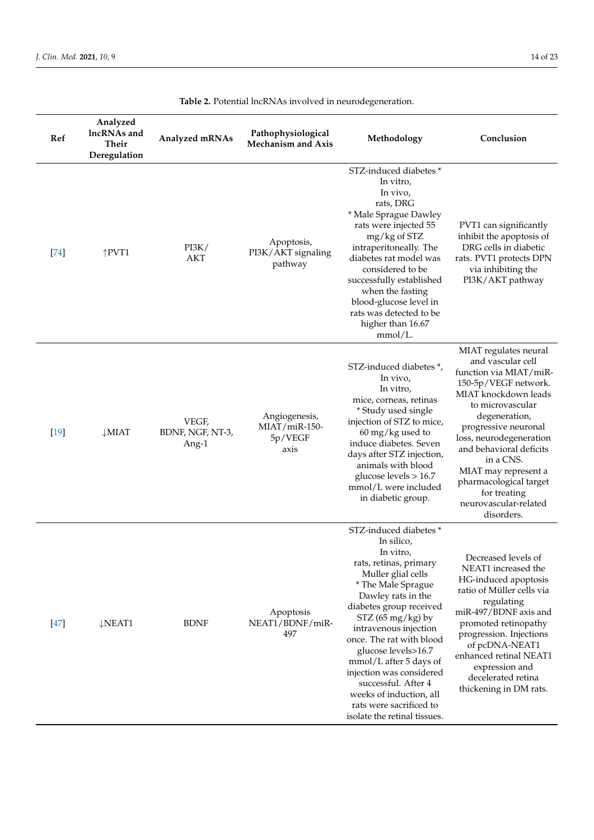| Ref    | Analyzed<br>lncRNAs and<br><b>Their</b><br>Deregulation | Analyzed mRNAs                     | Pathophysiological<br><b>Mechanism and Axis</b>   | Methodology                                                                                                                                                                                                                                                                                                                                                                                                                                    | Conclusion                                                                                                                                                                                                                                                                                                                                                    |
|--------|---------------------------------------------------------|------------------------------------|---------------------------------------------------|------------------------------------------------------------------------------------------------------------------------------------------------------------------------------------------------------------------------------------------------------------------------------------------------------------------------------------------------------------------------------------------------------------------------------------------------|---------------------------------------------------------------------------------------------------------------------------------------------------------------------------------------------------------------------------------------------------------------------------------------------------------------------------------------------------------------|
| $[74]$ | $\uparrow$ PVT1                                         | PI3K/<br><b>AKT</b>                | Apoptosis,<br>PI3K/AKT signaling<br>pathway       | STZ-induced diabetes*<br>In vitro,<br>In vivo,<br>rats, DRG<br>* Male Sprague Dawley<br>rats were injected 55<br>mg/kg of STZ<br>intraperitoneally. The<br>diabetes rat model was<br>considered to be<br>successfully established<br>when the fasting<br>blood-glucose level in<br>rats was detected to be<br>higher than 16.67<br>mmol/L.                                                                                                     | PVT1 can significantly<br>inhibit the apoptosis of<br>DRG cells in diabetic<br>rats. PVT1 protects DPN<br>via inhibiting the<br>PI3K/AKT pathway                                                                                                                                                                                                              |
| $[19]$ | $\downarrow$ MIAT                                       | VEGF,<br>BDNF, NGF, NT-3,<br>Ang-1 | Angiogenesis,<br>MIAT/miR-150-<br>5p/VEGF<br>axis | STZ-induced diabetes *,<br>In vivo,<br>In vitro,<br>mice, corneas, retinas<br>* Study used single<br>injection of STZ to mice,<br>$60 \,\mathrm{mg/kg}$ used to<br>induce diabetes. Seven<br>days after STZ injection,<br>animals with blood<br>glucose levels $> 16.7$<br>mmol/L were included<br>in diabetic group.                                                                                                                          | MIAT regulates neural<br>and vascular cell<br>function via MIAT/miR-<br>150-5p/VEGF network.<br>MIAT knockdown leads<br>to microvascular<br>degeneration,<br>progressive neuronal<br>loss, neurodegeneration<br>and behavioral deficits<br>in a CNS.<br>MIAT may represent a<br>pharmacological target<br>for treating<br>neurovascular-related<br>disorders. |
| $[47]$ | $\downarrow$ NEAT1                                      | <b>BDNF</b>                        | Apoptosis<br>NEAT1/BDNF/miR-<br>497               | STZ-induced diabetes *<br>In silico,<br>In vitro,<br>rats, retinas, primary<br>Muller glial cells<br>* The Male Sprague<br>Dawley rats in the<br>diabetes group received<br>$STZ$ (65 mg/kg) by<br>intravenous injection<br>once. The rat with blood<br>glucose levels>16.7<br>mmol/L after 5 days of<br>injection was considered<br>successful. After 4<br>weeks of induction, all<br>rats were sacrificed to<br>isolate the retinal tissues. | Decreased levels of<br>NEAT1 increased the<br>HG-induced apoptosis<br>ratio of Müller cells via<br>regulating<br>miR-497/BDNF axis and<br>promoted retinopathy<br>progression. Injections<br>of pcDNA-NEAT1<br>enhanced retinal NEAT1<br>expression and<br>decelerated retina<br>thickening in DM rats.                                                       |

**Table 2.** Potential lncRNAs involved in neurodegeneration.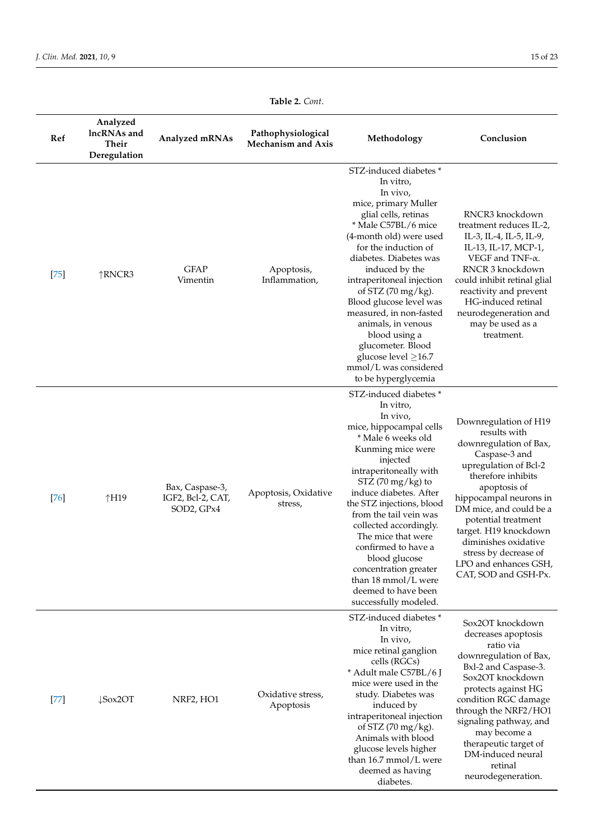| Ref                  | Analyzed<br>lncRNAs and<br>Their<br>Deregulation | Analyzed mRNAs                                     | Pathophysiological<br><b>Mechanism and Axis</b> | Methodology                                                                                                                                                                                                                                                                                                                                                                                                                                                                        | Conclusion                                                                                                                                                                                                                                                                                                                                             |
|----------------------|--------------------------------------------------|----------------------------------------------------|-------------------------------------------------|------------------------------------------------------------------------------------------------------------------------------------------------------------------------------------------------------------------------------------------------------------------------------------------------------------------------------------------------------------------------------------------------------------------------------------------------------------------------------------|--------------------------------------------------------------------------------------------------------------------------------------------------------------------------------------------------------------------------------------------------------------------------------------------------------------------------------------------------------|
| $[75]$               | ↑RNCR3                                           | <b>GFAP</b><br>Vimentin                            | Apoptosis,<br>Inflammation,                     | STZ-induced diabetes *<br>In vitro,<br>In vivo,<br>mice, primary Muller<br>glial cells, retinas<br>* Male C57BL/6 mice<br>(4-month old) were used<br>for the induction of<br>diabetes. Diabetes was<br>induced by the<br>intraperitoneal injection<br>of STZ $(70 \text{ mg/kg})$ .<br>Blood glucose level was<br>measured, in non-fasted<br>animals, in venous<br>blood using a<br>glucometer. Blood<br>glucose level $\geq$ 16.7<br>mmol/L was considered<br>to be hyperglycemia | RNCR3 knockdown<br>treatment reduces IL-2,<br>IL-3, IL-4, IL-5, IL-9,<br>IL-13, IL-17, MCP-1,<br>VEGF and TNF- $\alpha$ .<br>RNCR 3 knockdown<br>could inhibit retinal glial<br>reactivity and prevent<br>HG-induced retinal<br>neurodegeneration and<br>may be used as a<br>treatment.                                                                |
| $[76]$               | ↑H19                                             | Bax, Caspase-3,<br>IGF2, Bcl-2, CAT,<br>SOD2, GPx4 | Apoptosis, Oxidative<br>stress,                 | STZ-induced diabetes*<br>In vitro,<br>In vivo,<br>mice, hippocampal cells<br>* Male 6 weeks old<br>Kunming mice were<br>injected<br>intraperitoneally with<br>$STZ$ (70 mg/kg) to<br>induce diabetes. After<br>the STZ injections, blood<br>from the tail vein was<br>collected accordingly.<br>The mice that were<br>confirmed to have a<br>blood glucose<br>concentration greater<br>than 18 mmol/L were<br>deemed to have been<br>successfully modeled.                         | Downregulation of H19<br>results with<br>downregulation of Bax,<br>Caspase-3 and<br>upregulation of Bcl-2<br>therefore inhibits<br>apoptosis of<br>hippocampal neurons in<br>DM mice, and could be a<br>potential treatment<br>target. H19 knockdown<br>diminishes oxidative<br>stress by decrease of<br>LPO and enhances GSH,<br>CAT, SOD and GSH-Px. |
| $[77] \label{eq:77}$ | $\downarrow$ Sox2OT                              | NRF2, HO1                                          | Oxidative stress,<br>Apoptosis                  | STZ-induced diabetes*<br>In vitro,<br>In vivo,<br>mice retinal ganglion<br>cells (RGCs)<br>* Adult male C57BL/6 J<br>mice were used in the<br>study. Diabetes was<br>induced by<br>intraperitoneal injection<br>of STZ $(70 \text{ mg/kg})$ .<br>Animals with blood<br>glucose levels higher<br>than 16.7 mmol/L were<br>deemed as having<br>diabetes.                                                                                                                             | Sox2OT knockdown<br>decreases apoptosis<br>ratio via<br>downregulation of Bax,<br>Bxl-2 and Caspase-3.<br>Sox2OT knockdown<br>protects against HG<br>condition RGC damage<br>through the NRF2/HO1<br>signaling pathway, and<br>may become a<br>therapeutic target of<br>DM-induced neural<br>retinal<br>neurodegeneration.                             |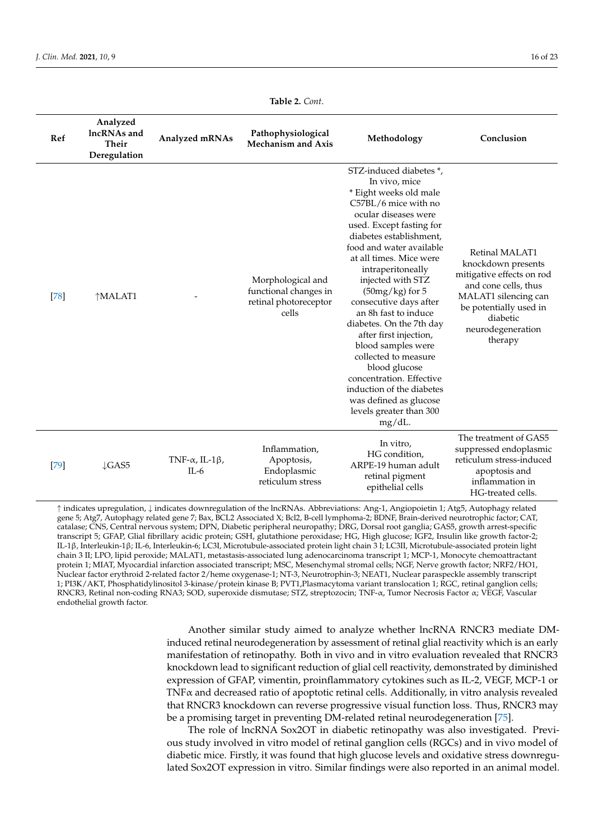<span id="page-15-0"></span>

| Ref    | Analyzed<br>lncRNAs and<br>Their<br>Deregulation | Analyzed mRNAs                           | Pathophysiological<br><b>Mechanism and Axis</b>                              | Methodology                                                                                                                                                                                                                                                                                                                                                                                                                                                                                                                                                                                    | Conclusion                                                                                                                                                                              |
|--------|--------------------------------------------------|------------------------------------------|------------------------------------------------------------------------------|------------------------------------------------------------------------------------------------------------------------------------------------------------------------------------------------------------------------------------------------------------------------------------------------------------------------------------------------------------------------------------------------------------------------------------------------------------------------------------------------------------------------------------------------------------------------------------------------|-----------------------------------------------------------------------------------------------------------------------------------------------------------------------------------------|
| $[78]$ | ↑MALAT1                                          |                                          | Morphological and<br>functional changes in<br>retinal photoreceptor<br>cells | STZ-induced diabetes *,<br>In vivo, mice<br>* Eight weeks old male<br>C57BL/6 mice with no<br>ocular diseases were<br>used. Except fasting for<br>diabetes establishment,<br>food and water available<br>at all times. Mice were<br>intraperitoneally<br>injected with STZ<br>$(50mg/kg)$ for 5<br>consecutive days after<br>an 8h fast to induce<br>diabetes. On the 7th day<br>after first injection,<br>blood samples were<br>collected to measure<br>blood glucose<br>concentration. Effective<br>induction of the diabetes<br>was defined as glucose<br>levels greater than 300<br>mg/dL. | Retinal MALAT1<br>knockdown presents<br>mitigative effects on rod<br>and cone cells, thus<br>MALAT1 silencing can<br>be potentially used in<br>diabetic<br>neurodegeneration<br>therapy |
| [79]   | $\downarrow$ GAS5                                | TNF- $\alpha$ , IL-1 $\beta$ ,<br>$IL-6$ | Inflammation,<br>Apoptosis,<br>Endoplasmic<br>reticulum stress               | In vitro,<br>HG condition,<br>ARPE-19 human adult<br>retinal pigment<br>epithelial cells                                                                                                                                                                                                                                                                                                                                                                                                                                                                                                       | The treatment of GAS5<br>suppressed endoplasmic<br>reticulum stress-induced<br>apoptosis and<br>inflammation in<br>HG-treated cells.                                                    |

↑ indicates upregulation, ↓ indicates downregulation of the lncRNAs. Abbreviations: Ang-1, Angiopoietin 1; Atg5, Autophagy related gene 5; Atg7, Autophagy related gene 7; Bax, BCL2 Associated X; Bcl2, B-cell lymphoma-2; BDNF, Brain-derived neurotrophic factor; CAT, catalase; CNS, Central nervous system; DPN, Diabetic peripheral neuropathy; DRG, Dorsal root ganglia; GAS5, growth arrest-specific transcript 5; GFAP, Glial fibrillary acidic protein; GSH, glutathione peroxidase; HG, High glucose; IGF2, Insulin like growth factor-2; IL-1β, Interleukin-1β; IL-6, Interleukin-6; LC3I, Microtubule-associated protein light chain 3 I; LC3II, Microtubule-associated protein light chain 3 II; LPO, lipid peroxide; MALAT1, metastasis-associated lung adenocarcinoma transcript 1; MCP-1, Monocyte chemoattractant protein 1; MIAT, Myocardial infarction associated transcript; MSC, Mesenchymal stromal cells; NGF, Nerve growth factor; NRF2/HO1, Nuclear factor erythroid 2-related factor 2/heme oxygenase-1; NT-3, Neurotrophin-3; NEAT1, Nuclear paraspeckle assembly transcript 1; PI3K/AKT, Phosphatidylinositol 3-kinase/protein kinase B; PVT1,Plasmacytoma variant translocation 1; RGC, retinal ganglion cells; RNCR3, Retinal non-coding RNA3; SOD, superoxide dismutase; STZ, streptozocin; TNF-α, Tumor Necrosis Factor α; VEGF, Vascular endothelial growth factor.

> Another similar study aimed to analyze whether lncRNA RNCR3 mediate DMinduced retinal neurodegeneration by assessment of retinal glial reactivity which is an early manifestation of retinopathy. Both in vivo and in vitro evaluation revealed that RNCR3 knockdown lead to significant reduction of glial cell reactivity, demonstrated by diminished expression of GFAP, vimentin, proinflammatory cytokines such as IL-2, VEGF, MCP-1 or TNF $\alpha$  and decreased ratio of apoptotic retinal cells. Additionally, in vitro analysis revealed that RNCR3 knockdown can reverse progressive visual function loss. Thus, RNCR3 may be a promising target in preventing DM-related retinal neurodegeneration [\[75\]](#page-21-14).

> The role of lncRNA Sox2OT in diabetic retinopathy was also investigated. Previous study involved in vitro model of retinal ganglion cells (RGCs) and in vivo model of diabetic mice. Firstly, it was found that high glucose levels and oxidative stress downregulated Sox2OT expression in vitro. Similar findings were also reported in an animal model.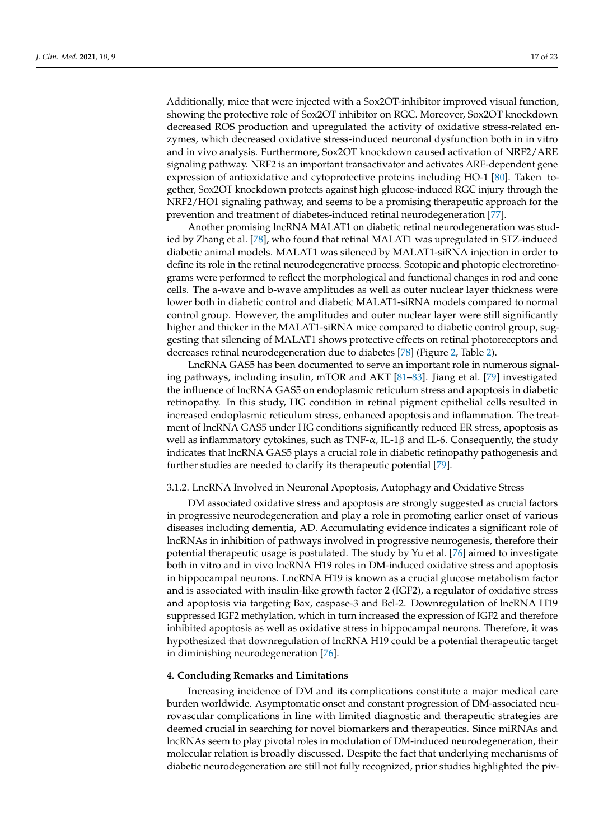Additionally, mice that were injected with a Sox2OT-inhibitor improved visual function, showing the protective role of Sox2OT inhibitor on RGC. Moreover, Sox2OT knockdown decreased ROS production and upregulated the activity of oxidative stress-related enzymes, which decreased oxidative stress-induced neuronal dysfunction both in in vitro and in vivo analysis. Furthermore, Sox2OT knockdown caused activation of NRF2/ARE signaling pathway. NRF2 is an important transactivator and activates ARE-dependent gene expression of antioxidative and cytoprotective proteins including HO-1 [\[80\]](#page-21-19). Taken together, Sox2OT knockdown protects against high glucose-induced RGC injury through the NRF2/HO1 signaling pathway, and seems to be a promising therapeutic approach for the prevention and treatment of diabetes-induced retinal neurodegeneration [\[77\]](#page-21-16).

Another promising lncRNA MALAT1 on diabetic retinal neurodegeneration was studied by Zhang et al. [\[78\]](#page-21-17), who found that retinal MALAT1 was upregulated in STZ-induced diabetic animal models. MALAT1 was silenced by MALAT1-siRNA injection in order to define its role in the retinal neurodegenerative process. Scotopic and photopic electroretinograms were performed to reflect the morphological and functional changes in rod and cone cells. The a-wave and b-wave amplitudes as well as outer nuclear layer thickness were lower both in diabetic control and diabetic MALAT1-siRNA models compared to normal control group. However, the amplitudes and outer nuclear layer were still significantly higher and thicker in the MALAT1-siRNA mice compared to diabetic control group, suggesting that silencing of MALAT1 shows protective effects on retinal photoreceptors and decreases retinal neurodegeneration due to diabetes [\[78\]](#page-21-17) (Figure [2,](#page-12-0) Table [2\)](#page-15-0).

LncRNA GAS5 has been documented to serve an important role in numerous signaling pathways, including insulin, mTOR and AKT [\[81](#page-21-20)[–83\]](#page-22-0). Jiang et al. [\[79\]](#page-21-18) investigated the influence of lncRNA GAS5 on endoplasmic reticulum stress and apoptosis in diabetic retinopathy. In this study, HG condition in retinal pigment epithelial cells resulted in increased endoplasmic reticulum stress, enhanced apoptosis and inflammation. The treatment of lncRNA GAS5 under HG conditions significantly reduced ER stress, apoptosis as well as inflammatory cytokines, such as TNF- $\alpha$ , IL-1 $\beta$  and IL-6. Consequently, the study indicates that lncRNA GAS5 plays a crucial role in diabetic retinopathy pathogenesis and further studies are needed to clarify its therapeutic potential [\[79\]](#page-21-18).

# 3.1.2. LncRNA Involved in Neuronal Apoptosis, Autophagy and Oxidative Stress

DM associated oxidative stress and apoptosis are strongly suggested as crucial factors in progressive neurodegeneration and play a role in promoting earlier onset of various diseases including dementia, AD. Accumulating evidence indicates a significant role of lncRNAs in inhibition of pathways involved in progressive neurogenesis, therefore their potential therapeutic usage is postulated. The study by Yu et al. [\[76\]](#page-21-15) aimed to investigate both in vitro and in vivo lncRNA H19 roles in DM-induced oxidative stress and apoptosis in hippocampal neurons. LncRNA H19 is known as a crucial glucose metabolism factor and is associated with insulin-like growth factor 2 (IGF2), a regulator of oxidative stress and apoptosis via targeting Bax, caspase-3 and Bcl-2. Downregulation of lncRNA H19 suppressed IGF2 methylation, which in turn increased the expression of IGF2 and therefore inhibited apoptosis as well as oxidative stress in hippocampal neurons. Therefore, it was hypothesized that downregulation of lncRNA H19 could be a potential therapeutic target in diminishing neurodegeneration [\[76\]](#page-21-15).

## **4. Concluding Remarks and Limitations**

Increasing incidence of DM and its complications constitute a major medical care burden worldwide. Asymptomatic onset and constant progression of DM-associated neurovascular complications in line with limited diagnostic and therapeutic strategies are deemed crucial in searching for novel biomarkers and therapeutics. Since miRNAs and lncRNAs seem to play pivotal roles in modulation of DM-induced neurodegeneration, their molecular relation is broadly discussed. Despite the fact that underlying mechanisms of diabetic neurodegeneration are still not fully recognized, prior studies highlighted the piv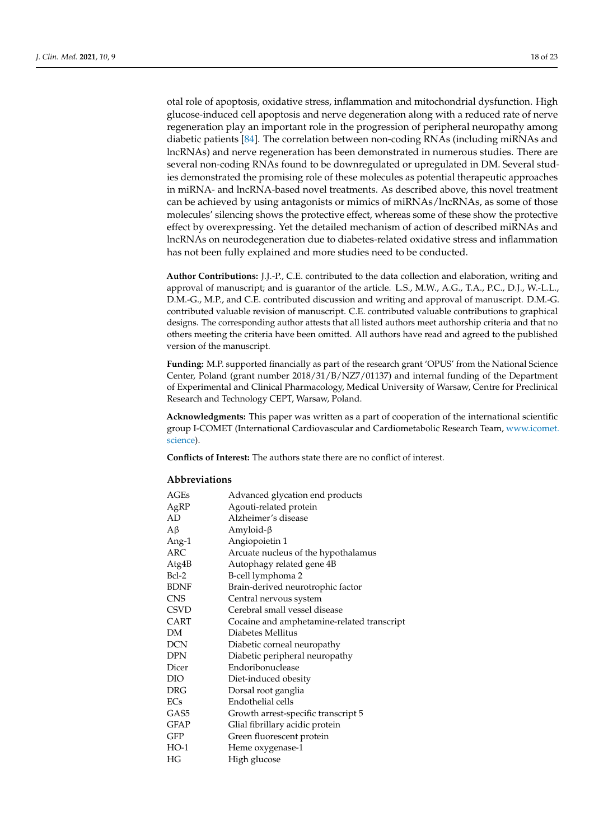otal role of apoptosis, oxidative stress, inflammation and mitochondrial dysfunction. High glucose-induced cell apoptosis and nerve degeneration along with a reduced rate of nerve regeneration play an important role in the progression of peripheral neuropathy among diabetic patients [\[84\]](#page-22-1). The correlation between non-coding RNAs (including miRNAs and lncRNAs) and nerve regeneration has been demonstrated in numerous studies. There are several non-coding RNAs found to be downregulated or upregulated in DM. Several studies demonstrated the promising role of these molecules as potential therapeutic approaches in miRNA- and lncRNA-based novel treatments. As described above, this novel treatment can be achieved by using antagonists or mimics of miRNAs/lncRNAs, as some of those molecules' silencing shows the protective effect, whereas some of these show the protective effect by overexpressing. Yet the detailed mechanism of action of described miRNAs and lncRNAs on neurodegeneration due to diabetes-related oxidative stress and inflammation has not been fully explained and more studies need to be conducted.

**Author Contributions:** J.J.-P., C.E. contributed to the data collection and elaboration, writing and approval of manuscript; and is guarantor of the article. L.S., M.W., A.G., T.A., P.C., D.J., W.-L.L., D.M.-G., M.P., and C.E. contributed discussion and writing and approval of manuscript. D.M.-G. contributed valuable revision of manuscript. C.E. contributed valuable contributions to graphical designs. The corresponding author attests that all listed authors meet authorship criteria and that no others meeting the criteria have been omitted. All authors have read and agreed to the published version of the manuscript.

**Funding:** M.P. supported financially as part of the research grant 'OPUS' from the National Science Center, Poland (grant number 2018/31/B/NZ7/01137) and internal funding of the Department of Experimental and Clinical Pharmacology, Medical University of Warsaw, Centre for Preclinical Research and Technology CEPT, Warsaw, Poland.

**Acknowledgments:** This paper was written as a part of cooperation of the international scientific group I-COMET (International Cardiovascular and Cardiometabolic Research Team, [www.icomet.](www.icomet.science) [science\)](www.icomet.science).

**Conflicts of Interest:** The authors state there are no conflict of interest.

#### **Abbreviations**

| AGEs        | Advanced glycation end products            |
|-------------|--------------------------------------------|
| AgRP        | Agouti-related protein                     |
| AD          | Alzheimer's disease                        |
| Aβ          | Amyloid- $\beta$                           |
| Ang-1       | Angiopoietin 1                             |
| ARC         | Arcuate nucleus of the hypothalamus        |
| Atg4B       | Autophagy related gene 4B                  |
| Bcl-2       | B-cell lymphoma 2                          |
| <b>BDNF</b> | Brain-derived neurotrophic factor          |
| <b>CNS</b>  | Central nervous system                     |
| <b>CSVD</b> | Cerebral small vessel disease              |
| <b>CART</b> | Cocaine and amphetamine-related transcript |
| DM          | Diabetes Mellitus                          |
| <b>DCN</b>  | Diabetic corneal neuropathy                |
| <b>DPN</b>  | Diabetic peripheral neuropathy             |
| Dicer       | Endoribonuclease                           |
| DIO         | Diet-induced obesity                       |
| <b>DRG</b>  | Dorsal root ganglia                        |
| ECs         | Endothelial cells                          |
| GAS5        | Growth arrest-specific transcript 5        |
| <b>GFAP</b> | Glial fibrillary acidic protein            |
| <b>GFP</b>  | Green fluorescent protein                  |
| $HO-1$      | Heme oxygenase-1                           |
| HG          | High glucose                               |
|             |                                            |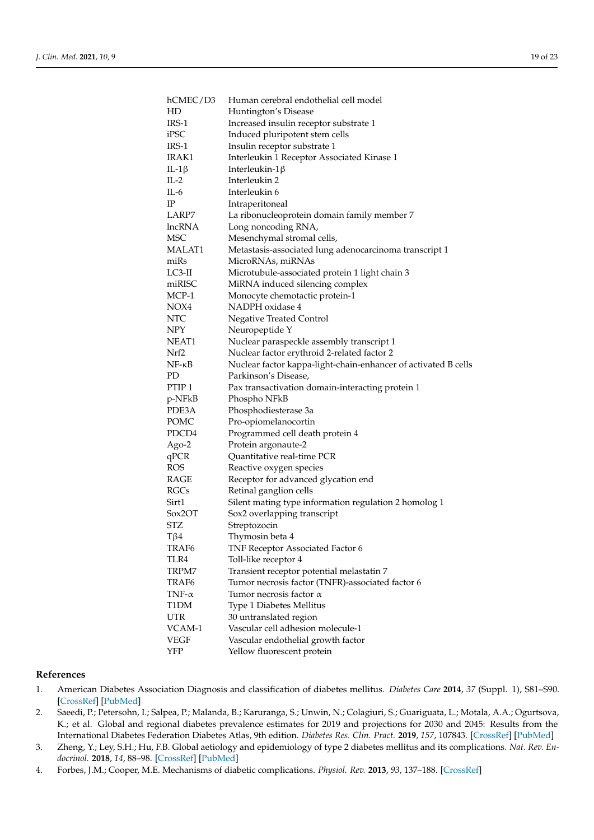| hCMEC/D3                  | Human cerebral endothelial cell model                          |
|---------------------------|----------------------------------------------------------------|
| HD                        | Huntington's Disease                                           |
| IRS-1                     | Increased insulin receptor substrate 1                         |
| iPSC                      | Induced pluripotent stem cells                                 |
| IRS-1                     | Insulin receptor substrate 1                                   |
| IRAK1                     | Interleukin 1 Receptor Associated Kinase 1                     |
| IL-1 $\beta$              | Interleukin- $1\beta$                                          |
| $IL-2$                    | Interleukin 2                                                  |
| $IL-6$                    | Interleukin 6                                                  |
| $_{\rm IP}$               | Intraperitoneal                                                |
| LARP7                     | La ribonucleoprotein domain family member 7                    |
| lncRNA                    | Long noncoding RNA,                                            |
| <b>MSC</b>                | Mesenchymal stromal cells,                                     |
| MALAT1                    | Metastasis-associated lung adenocarcinoma transcript 1         |
| miRs                      | MicroRNAs, miRNAs                                              |
| $LC3-H$                   | Microtubule-associated protein 1 light chain 3                 |
| miRISC                    | MiRNA induced silencing complex                                |
| $MCP-1$                   | Monocyte chemotactic protein-1                                 |
| NOX4                      | NADPH oxidase 4                                                |
| $\ensuremath{\text{NTC}}$ | <b>Negative Treated Control</b>                                |
| NPY                       | Neuropeptide Y                                                 |
| NEAT1                     | Nuclear paraspeckle assembly transcript 1                      |
| Nrf2                      | Nuclear factor erythroid 2-related factor 2                    |
| $NF - \kappa B$           | Nuclear factor kappa-light-chain-enhancer of activated B cells |
| PD                        | Parkinson's Disease,                                           |
| PTIP <sub>1</sub>         | Pax transactivation domain-interacting protein 1               |
| p-NFkB                    | Phospho NFkB                                                   |
| PDE3A                     | Phosphodiesterase 3a                                           |
| POMC                      | Pro-opiomelanocortin                                           |
| PDCD4                     | Programmed cell death protein 4                                |
| Ago-2                     | Protein argonaute-2                                            |
| qPCR                      | Quantitative real-time PCR                                     |
| ROS                       | Reactive oxygen species                                        |
| RAGE                      | Receptor for advanced glycation end                            |
| RGCs                      | Retinal ganglion cells                                         |
| Sirt1                     | Silent mating type information regulation 2 homolog 1          |
| Sox2OT                    | Sox2 overlapping transcript                                    |
| <b>STZ</b>                | Streptozocin                                                   |
| Tβ4                       | Thymosin beta 4                                                |
| TRAF6                     | TNF Receptor Associated Factor 6                               |
| TLR4                      | Toll-like receptor 4                                           |
| TRPM7                     | Transient receptor potential melastatin 7                      |
| TRAF6                     | Tumor necrosis factor (TNFR)-associated factor 6               |
| TNF- $\alpha$             | Tumor necrosis factor $\alpha$                                 |
| T1DM                      | Type 1 Diabetes Mellitus                                       |
| <b>UTR</b>                | 30 untranslated region                                         |
| VCAM-1                    | Vascular cell adhesion molecule-1                              |
| VEGF                      | Vascular endothelial growth factor                             |
| YFP                       | Yellow fluorescent protein                                     |

## **References**

- <span id="page-18-0"></span>1. American Diabetes Association Diagnosis and classification of diabetes mellitus. *Diabetes Care* **2014**, *37* (Suppl. 1), S81–S90. [\[CrossRef\]](http://dx.doi.org/10.2337/dc14-S081) [\[PubMed\]](http://www.ncbi.nlm.nih.gov/pubmed/24357215)
- <span id="page-18-1"></span>2. Saeedi, P.; Petersohn, I.; Salpea, P.; Malanda, B.; Karuranga, S.; Unwin, N.; Colagiuri, S.; Guariguata, L.; Motala, A.A.; Ogurtsova, K.; et al. Global and regional diabetes prevalence estimates for 2019 and projections for 2030 and 2045: Results from the International Diabetes Federation Diabetes Atlas, 9th edition. *Diabetes Res. Clin. Pract.* **2019**, *157*, 107843. [\[CrossRef\]](http://dx.doi.org/10.1016/j.diabres.2019.107843) [\[PubMed\]](http://www.ncbi.nlm.nih.gov/pubmed/31518657)
- <span id="page-18-2"></span>3. Zheng, Y.; Ley, S.H.; Hu, F.B. Global aetiology and epidemiology of type 2 diabetes mellitus and its complications. *Nat. Rev. Endocrinol.* **2018**, *14*, 88–98. [\[CrossRef\]](http://dx.doi.org/10.1038/nrendo.2017.151) [\[PubMed\]](http://www.ncbi.nlm.nih.gov/pubmed/29219149)
- <span id="page-18-3"></span>4. Forbes, J.M.; Cooper, M.E. Mechanisms of diabetic complications. *Physiol. Rev.* **2013**, *93*, 137–188. [\[CrossRef\]](http://dx.doi.org/10.1152/physrev.00045.2011)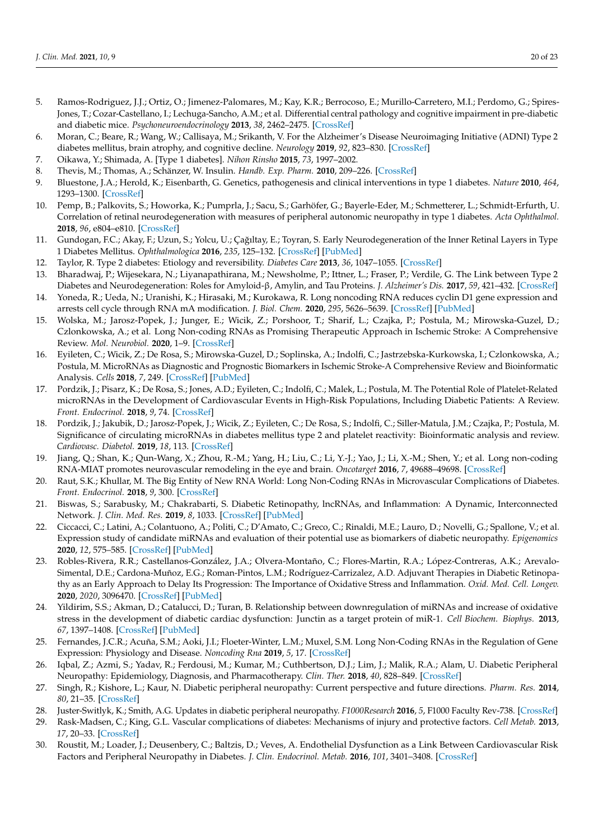- <span id="page-19-0"></span>5. Ramos-Rodriguez, J.J.; Ortiz, O.; Jimenez-Palomares, M.; Kay, K.R.; Berrocoso, E.; Murillo-Carretero, M.I.; Perdomo, G.; Spires-Jones, T.; Cozar-Castellano, I.; Lechuga-Sancho, A.M.; et al. Differential central pathology and cognitive impairment in pre-diabetic and diabetic mice. *Psychoneuroendocrinology* **2013**, *38*, 2462–2475. [\[CrossRef\]](http://dx.doi.org/10.1016/j.psyneuen.2013.05.010)
- <span id="page-19-1"></span>6. Moran, C.; Beare, R.; Wang, W.; Callisaya, M.; Srikanth, V. For the Alzheimer's Disease Neuroimaging Initiative (ADNI) Type 2 diabetes mellitus, brain atrophy, and cognitive decline. *Neurology* **2019**, *92*, 823–830. [\[CrossRef\]](http://dx.doi.org/10.1212/WNL.0000000000006955)
- <span id="page-19-2"></span>7. Oikawa, Y.; Shimada, A. [Type 1 diabetes]. *Nihon Rinsho* **2015**, *73*, 1997–2002.
- <span id="page-19-3"></span>8. Thevis, M.; Thomas, A.; Schänzer, W. Insulin. *Handb. Exp. Pharm.* **2010**, 209–226. [\[CrossRef\]](http://dx.doi.org/10.1007/978-3-540-79088-4_10)
- <span id="page-19-4"></span>9. Bluestone, J.A.; Herold, K.; Eisenbarth, G. Genetics, pathogenesis and clinical interventions in type 1 diabetes. *Nature* **2010**, *464*, 1293–1300. [\[CrossRef\]](http://dx.doi.org/10.1038/nature08933)
- <span id="page-19-5"></span>10. Pemp, B.; Palkovits, S.; Howorka, K.; Pumprla, J.; Sacu, S.; Garhöfer, G.; Bayerle-Eder, M.; Schmetterer, L.; Schmidt-Erfurth, U. Correlation of retinal neurodegeneration with measures of peripheral autonomic neuropathy in type 1 diabetes. *Acta Ophthalmol.* **2018**, *96*, e804–e810. [\[CrossRef\]](http://dx.doi.org/10.1111/aos.13733)
- <span id="page-19-6"></span>11. Gundogan, F.C.; Akay, F.; Uzun, S.; Yolcu, U.; Çağıltay, E.; Toyran, S. Early Neurodegeneration of the Inner Retinal Layers in Type 1 Diabetes Mellitus. *Ophthalmologica* **2016**, *235*, 125–132. [\[CrossRef\]](http://dx.doi.org/10.1159/000442826) [\[PubMed\]](http://www.ncbi.nlm.nih.gov/pubmed/26674204)
- <span id="page-19-7"></span>12. Taylor, R. Type 2 diabetes: Etiology and reversibility. *Diabetes Care* **2013**, *36*, 1047–1055. [\[CrossRef\]](http://dx.doi.org/10.2337/dc12-1805)
- <span id="page-19-8"></span>13. Bharadwaj, P.; Wijesekara, N.; Liyanapathirana, M.; Newsholme, P.; Ittner, L.; Fraser, P.; Verdile, G. The Link between Type 2 Diabetes and Neurodegeneration: Roles for Amyloid-β, Amylin, and Tau Proteins. *J. Alzheimer's Dis.* **2017**, *59*, 421–432. [\[CrossRef\]](http://dx.doi.org/10.3233/JAD-161192)
- <span id="page-19-9"></span>14. Yoneda, R.; Ueda, N.; Uranishi, K.; Hirasaki, M.; Kurokawa, R. Long noncoding RNA reduces cyclin D1 gene expression and arrests cell cycle through RNA mA modification. *J. Biol. Chem.* **2020**, *295*, 5626–5639. [\[CrossRef\]](http://dx.doi.org/10.1074/jbc.RA119.011556) [\[PubMed\]](http://www.ncbi.nlm.nih.gov/pubmed/32165496)
- 15. Wolska, M.; Jarosz-Popek, J.; Junger, E.; Wicik, Z.; Porshoor, T.; Sharif, L.; Czajka, P.; Postula, M.; Mirowska-Guzel, D.; Czlonkowska, A.; et al. Long Non-coding RNAs as Promising Therapeutic Approach in Ischemic Stroke: A Comprehensive Review. *Mol. Neurobiol.* **2020**, 1–9. [\[CrossRef\]](http://dx.doi.org/10.1007/s12035-020-02206-8)
- <span id="page-19-14"></span>16. Eyileten, C.; Wicik, Z.; De Rosa, S.; Mirowska-Guzel, D.; Soplinska, A.; Indolfi, C.; Jastrzebska-Kurkowska, I.; Czlonkowska, A.; Postula, M. MicroRNAs as Diagnostic and Prognostic Biomarkers in Ischemic Stroke-A Comprehensive Review and Bioinformatic Analysis. *Cells* **2018**, *7*, 249. [\[CrossRef\]](http://dx.doi.org/10.3390/cells7120249) [\[PubMed\]](http://www.ncbi.nlm.nih.gov/pubmed/30563269)
- 17. Pordzik, J.; Pisarz, K.; De Rosa, S.; Jones, A.D.; Eyileten, C.; Indolfi, C.; Malek, L.; Postula, M. The Potential Role of Platelet-Related microRNAs in the Development of Cardiovascular Events in High-Risk Populations, Including Diabetic Patients: A Review. *Front. Endocrinol.* **2018**, *9*, 74. [\[CrossRef\]](http://dx.doi.org/10.3389/fendo.2018.00074)
- <span id="page-19-10"></span>18. Pordzik, J.; Jakubik, D.; Jarosz-Popek, J.; Wicik, Z.; Eyileten, C.; De Rosa, S.; Indolfi, C.; Siller-Matula, J.M.; Czajka, P.; Postula, M. Significance of circulating microRNAs in diabetes mellitus type 2 and platelet reactivity: Bioinformatic analysis and review. *Cardiovasc. Diabetol.* **2019**, *18*, 113. [\[CrossRef\]](http://dx.doi.org/10.1186/s12933-019-0918-x)
- <span id="page-19-11"></span>19. Jiang, Q.; Shan, K.; Qun-Wang, X.; Zhou, R.-M.; Yang, H.; Liu, C.; Li, Y.-J.; Yao, J.; Li, X.-M.; Shen, Y.; et al. Long non-coding RNA-MIAT promotes neurovascular remodeling in the eye and brain. *Oncotarget* **2016**, *7*, 49688–49698. [\[CrossRef\]](http://dx.doi.org/10.18632/oncotarget.10434)
- <span id="page-19-12"></span>20. Raut, S.K.; Khullar, M. The Big Entity of New RNA World: Long Non-Coding RNAs in Microvascular Complications of Diabetes. *Front. Endocrinol.* **2018**, *9*, 300. [\[CrossRef\]](http://dx.doi.org/10.3389/fendo.2018.00300)
- <span id="page-19-13"></span>21. Biswas, S.; Sarabusky, M.; Chakrabarti, S. Diabetic Retinopathy, lncRNAs, and Inflammation: A Dynamic, Interconnected Network. *J. Clin. Med. Res.* **2019**, *8*, 1033. [\[CrossRef\]](http://dx.doi.org/10.3390/jcm8071033) [\[PubMed\]](http://www.ncbi.nlm.nih.gov/pubmed/31337130)
- <span id="page-19-15"></span>22. Ciccacci, C.; Latini, A.; Colantuono, A.; Politi, C.; D'Amato, C.; Greco, C.; Rinaldi, M.E.; Lauro, D.; Novelli, G.; Spallone, V.; et al. Expression study of candidate miRNAs and evaluation of their potential use as biomarkers of diabetic neuropathy. *Epigenomics* **2020**, *12*, 575–585. [\[CrossRef\]](http://dx.doi.org/10.2217/epi-2019-0242) [\[PubMed\]](http://www.ncbi.nlm.nih.gov/pubmed/32400192)
- <span id="page-19-16"></span>23. Robles-Rivera, R.R.; Castellanos-González, J.A.; Olvera-Montaño, C.; Flores-Martin, R.A.; López-Contreras, A.K.; Arevalo-Simental, D.E.; Cardona-Muñoz, E.G.; Roman-Pintos, L.M.; Rodríguez-Carrizalez, A.D. Adjuvant Therapies in Diabetic Retinopathy as an Early Approach to Delay Its Progression: The Importance of Oxidative Stress and Inflammation. *Oxid. Med. Cell. Longev.* **2020**, *2020*, 3096470. [\[CrossRef\]](http://dx.doi.org/10.1155/2020/3096470) [\[PubMed\]](http://www.ncbi.nlm.nih.gov/pubmed/32256949)
- <span id="page-19-17"></span>24. Yildirim, S.S.; Akman, D.; Catalucci, D.; Turan, B. Relationship between downregulation of miRNAs and increase of oxidative stress in the development of diabetic cardiac dysfunction: Junctin as a target protein of miR-1. *Cell Biochem. Biophys.* **2013**, *67*, 1397–1408. [\[CrossRef\]](http://dx.doi.org/10.1007/s12013-013-9672-y) [\[PubMed\]](http://www.ncbi.nlm.nih.gov/pubmed/23723006)
- <span id="page-19-18"></span>25. Fernandes, J.C.R.; Acuña, S.M.; Aoki, J.I.; Floeter-Winter, L.M.; Muxel, S.M. Long Non-Coding RNAs in the Regulation of Gene Expression: Physiology and Disease. *Noncoding Rna* **2019**, *5*, 17. [\[CrossRef\]](http://dx.doi.org/10.3390/ncrna5010017)
- <span id="page-19-19"></span>26. Iqbal, Z.; Azmi, S.; Yadav, R.; Ferdousi, M.; Kumar, M.; Cuthbertson, D.J.; Lim, J.; Malik, R.A.; Alam, U. Diabetic Peripheral Neuropathy: Epidemiology, Diagnosis, and Pharmacotherapy. *Clin. Ther.* **2018**, *40*, 828–849. [\[CrossRef\]](http://dx.doi.org/10.1016/j.clinthera.2018.04.001)
- <span id="page-19-20"></span>27. Singh, R.; Kishore, L.; Kaur, N. Diabetic peripheral neuropathy: Current perspective and future directions. *Pharm. Res.* **2014**, *80*, 21–35. [\[CrossRef\]](http://dx.doi.org/10.1016/j.phrs.2013.12.005)
- <span id="page-19-21"></span>28. Juster-Switlyk, K.; Smith, A.G. Updates in diabetic peripheral neuropathy. *F1000Research* **2016**, *5*, F1000 Faculty Rev-738. [\[CrossRef\]](http://dx.doi.org/10.12688/f1000research.7898.1)
- <span id="page-19-22"></span>29. Rask-Madsen, C.; King, G.L. Vascular complications of diabetes: Mechanisms of injury and protective factors. *Cell Metab.* **2013**, *17*, 20–33. [\[CrossRef\]](http://dx.doi.org/10.1016/j.cmet.2012.11.012)
- <span id="page-19-23"></span>30. Roustit, M.; Loader, J.; Deusenbery, C.; Baltzis, D.; Veves, A. Endothelial Dysfunction as a Link Between Cardiovascular Risk Factors and Peripheral Neuropathy in Diabetes. *J. Clin. Endocrinol. Metab.* **2016**, *101*, 3401–3408. [\[CrossRef\]](http://dx.doi.org/10.1210/jc.2016-2030)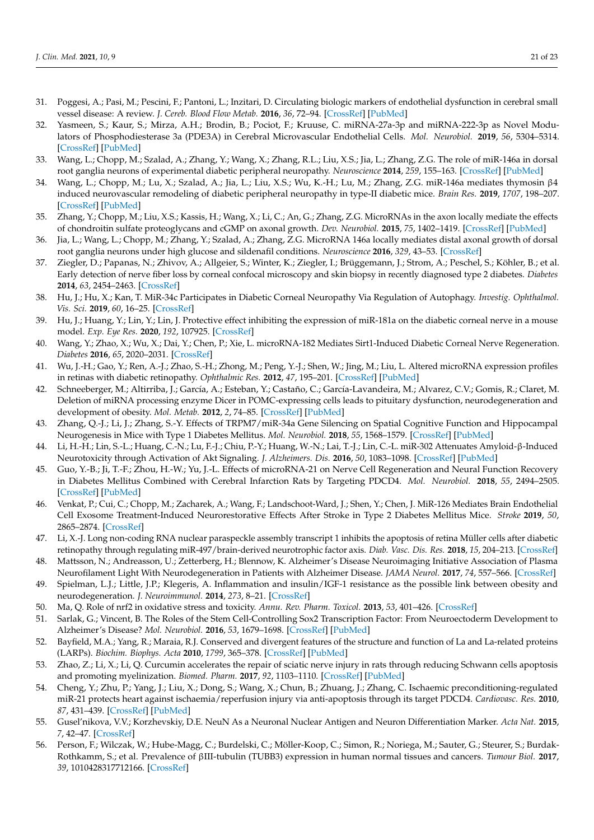- <span id="page-20-0"></span>31. Poggesi, A.; Pasi, M.; Pescini, F.; Pantoni, L.; Inzitari, D. Circulating biologic markers of endothelial dysfunction in cerebral small vessel disease: A review. *J. Cereb. Blood Flow Metab.* **2016**, *36*, 72–94. [\[CrossRef\]](http://dx.doi.org/10.1038/jcbfm.2015.116) [\[PubMed\]](http://www.ncbi.nlm.nih.gov/pubmed/26058695)
- <span id="page-20-1"></span>32. Yasmeen, S.; Kaur, S.; Mirza, A.H.; Brodin, B.; Pociot, F.; Kruuse, C. miRNA-27a-3p and miRNA-222-3p as Novel Modulators of Phosphodiesterase 3a (PDE3A) in Cerebral Microvascular Endothelial Cells. *Mol. Neurobiol.* **2019**, *56*, 5304–5314. [\[CrossRef\]](http://dx.doi.org/10.1007/s12035-018-1446-5) [\[PubMed\]](http://www.ncbi.nlm.nih.gov/pubmed/30603956)
- <span id="page-20-2"></span>33. Wang, L.; Chopp, M.; Szalad, A.; Zhang, Y.; Wang, X.; Zhang, R.L.; Liu, X.S.; Jia, L.; Zhang, Z.G. The role of miR-146a in dorsal root ganglia neurons of experimental diabetic peripheral neuropathy. *Neuroscience* **2014**, *259*, 155–163. [\[CrossRef\]](http://dx.doi.org/10.1016/j.neuroscience.2013.11.057) [\[PubMed\]](http://www.ncbi.nlm.nih.gov/pubmed/24316060)
- <span id="page-20-3"></span>34. Wang, L.; Chopp, M.; Lu, X.; Szalad, A.; Jia, L.; Liu, X.S.; Wu, K.-H.; Lu, M.; Zhang, Z.G. miR-146a mediates thymosin β4 induced neurovascular remodeling of diabetic peripheral neuropathy in type-II diabetic mice. *Brain Res.* **2019**, *1707*, 198–207. [\[CrossRef\]](http://dx.doi.org/10.1016/j.brainres.2018.11.039) [\[PubMed\]](http://www.ncbi.nlm.nih.gov/pubmed/30500399)
- <span id="page-20-4"></span>35. Zhang, Y.; Chopp, M.; Liu, X.S.; Kassis, H.; Wang, X.; Li, C.; An, G.; Zhang, Z.G. MicroRNAs in the axon locally mediate the effects of chondroitin sulfate proteoglycans and cGMP on axonal growth. *Dev. Neurobiol.* **2015**, *75*, 1402–1419. [\[CrossRef\]](http://dx.doi.org/10.1002/dneu.22292) [\[PubMed\]](http://www.ncbi.nlm.nih.gov/pubmed/25788427)
- <span id="page-20-5"></span>36. Jia, L.; Wang, L.; Chopp, M.; Zhang, Y.; Szalad, A.; Zhang, Z.G. MicroRNA 146a locally mediates distal axonal growth of dorsal root ganglia neurons under high glucose and sildenafil conditions. *Neuroscience* **2016**, *329*, 43–53. [\[CrossRef\]](http://dx.doi.org/10.1016/j.neuroscience.2016.05.005)
- <span id="page-20-6"></span>37. Ziegler, D.; Papanas, N.; Zhivov, A.; Allgeier, S.; Winter, K.; Ziegler, I.; Brüggemann, J.; Strom, A.; Peschel, S.; Köhler, B.; et al. Early detection of nerve fiber loss by corneal confocal microscopy and skin biopsy in recently diagnosed type 2 diabetes. *Diabetes* **2014**, *63*, 2454–2463. [\[CrossRef\]](http://dx.doi.org/10.2337/db13-1819)
- <span id="page-20-7"></span>38. Hu, J.; Hu, X.; Kan, T. MiR-34c Participates in Diabetic Corneal Neuropathy Via Regulation of Autophagy. *Investig. Ophthalmol. Vis. Sci.* **2019**, *60*, 16–25. [\[CrossRef\]](http://dx.doi.org/10.1167/iovs.18-24968)
- <span id="page-20-8"></span>39. Hu, J.; Huang, Y.; Lin, Y.; Lin, J. Protective effect inhibiting the expression of miR-181a on the diabetic corneal nerve in a mouse model. *Exp. Eye Res.* **2020**, *192*, 107925. [\[CrossRef\]](http://dx.doi.org/10.1016/j.exer.2020.107925)
- <span id="page-20-9"></span>40. Wang, Y.; Zhao, X.; Wu, X.; Dai, Y.; Chen, P.; Xie, L. microRNA-182 Mediates Sirt1-Induced Diabetic Corneal Nerve Regeneration. *Diabetes* **2016**, *65*, 2020–2031. [\[CrossRef\]](http://dx.doi.org/10.2337/db15-1283)
- <span id="page-20-10"></span>41. Wu, J.-H.; Gao, Y.; Ren, A.-J.; Zhao, S.-H.; Zhong, M.; Peng, Y.-J.; Shen, W.; Jing, M.; Liu, L. Altered microRNA expression profiles in retinas with diabetic retinopathy. *Ophthalmic Res.* **2012**, *47*, 195–201. [\[CrossRef\]](http://dx.doi.org/10.1159/000331992) [\[PubMed\]](http://www.ncbi.nlm.nih.gov/pubmed/22156553)
- <span id="page-20-11"></span>42. Schneeberger, M.; Altirriba, J.; García, A.; Esteban, Y.; Castaño, C.; García-Lavandeira, M.; Alvarez, C.V.; Gomis, R.; Claret, M. Deletion of miRNA processing enzyme Dicer in POMC-expressing cells leads to pituitary dysfunction, neurodegeneration and development of obesity. *Mol. Metab.* **2012**, *2*, 74–85. [\[CrossRef\]](http://dx.doi.org/10.1016/j.molmet.2012.10.001) [\[PubMed\]](http://www.ncbi.nlm.nih.gov/pubmed/24199146)
- <span id="page-20-12"></span>43. Zhang, Q.-J.; Li, J.; Zhang, S.-Y. Effects of TRPM7/miR-34a Gene Silencing on Spatial Cognitive Function and Hippocampal Neurogenesis in Mice with Type 1 Diabetes Mellitus. *Mol. Neurobiol.* **2018**, *55*, 1568–1579. [\[CrossRef\]](http://dx.doi.org/10.1007/s12035-017-0398-5) [\[PubMed\]](http://www.ncbi.nlm.nih.gov/pubmed/28185128)
- <span id="page-20-13"></span>44. Li, H.-H.; Lin, S.-L.; Huang, C.-N.; Lu, F.-J.; Chiu, P.-Y.; Huang, W.-N.; Lai, T.-J.; Lin, C.-L. miR-302 Attenuates Amyloid-β-Induced Neurotoxicity through Activation of Akt Signaling. *J. Alzheimers. Dis.* **2016**, *50*, 1083–1098. [\[CrossRef\]](http://dx.doi.org/10.3233/JAD-150741) [\[PubMed\]](http://www.ncbi.nlm.nih.gov/pubmed/26890744)
- <span id="page-20-14"></span>45. Guo, Y.-B.; Ji, T.-F.; Zhou, H.-W.; Yu, J.-L. Effects of microRNA-21 on Nerve Cell Regeneration and Neural Function Recovery in Diabetes Mellitus Combined with Cerebral Infarction Rats by Targeting PDCD4. *Mol. Neurobiol.* **2018**, *55*, 2494–2505. [\[CrossRef\]](http://dx.doi.org/10.1007/s12035-017-0484-8) [\[PubMed\]](http://www.ncbi.nlm.nih.gov/pubmed/28389999)
- <span id="page-20-15"></span>46. Venkat, P.; Cui, C.; Chopp, M.; Zacharek, A.; Wang, F.; Landschoot-Ward, J.; Shen, Y.; Chen, J. MiR-126 Mediates Brain Endothelial Cell Exosome Treatment-Induced Neurorestorative Effects After Stroke in Type 2 Diabetes Mellitus Mice. *Stroke* **2019**, *50*, 2865–2874. [\[CrossRef\]](http://dx.doi.org/10.1161/STROKEAHA.119.025371)
- <span id="page-20-16"></span>47. Li, X.-J. Long non-coding RNA nuclear paraspeckle assembly transcript 1 inhibits the apoptosis of retina Müller cells after diabetic retinopathy through regulating miR-497/brain-derived neurotrophic factor axis. *Diab. Vasc. Dis. Res.* **2018**, *15*, 204–213. [\[CrossRef\]](http://dx.doi.org/10.1177/1479164117749382)
- <span id="page-20-17"></span>48. Mattsson, N.; Andreasson, U.; Zetterberg, H.; Blennow, K. Alzheimer's Disease Neuroimaging Initiative Association of Plasma Neurofilament Light With Neurodegeneration in Patients with Alzheimer Disease. *JAMA Neurol.* **2017**, *74*, 557–566. [\[CrossRef\]](http://dx.doi.org/10.1001/jamaneurol.2016.6117)
- <span id="page-20-18"></span>49. Spielman, L.J.; Little, J.P.; Klegeris, A. Inflammation and insulin/IGF-1 resistance as the possible link between obesity and neurodegeneration. *J. Neuroimmunol.* **2014**, *273*, 8–21. [\[CrossRef\]](http://dx.doi.org/10.1016/j.jneuroim.2014.06.004)
- <span id="page-20-19"></span>50. Ma, Q. Role of nrf2 in oxidative stress and toxicity. *Annu. Rev. Pharm. Toxicol.* **2013**, *53*, 401–426. [\[CrossRef\]](http://dx.doi.org/10.1146/annurev-pharmtox-011112-140320)
- <span id="page-20-20"></span>51. Sarlak, G.; Vincent, B. The Roles of the Stem Cell-Controlling Sox2 Transcription Factor: From Neuroectoderm Development to Alzheimer's Disease? *Mol. Neurobiol.* **2016**, *53*, 1679–1698. [\[CrossRef\]](http://dx.doi.org/10.1007/s12035-015-9123-4) [\[PubMed\]](http://www.ncbi.nlm.nih.gov/pubmed/25691455)
- <span id="page-20-21"></span>52. Bayfield, M.A.; Yang, R.; Maraia, R.J. Conserved and divergent features of the structure and function of La and La-related proteins (LARPs). *Biochim. Biophys. Acta* **2010**, *1799*, 365–378. [\[CrossRef\]](http://dx.doi.org/10.1016/j.bbagrm.2010.01.011) [\[PubMed\]](http://www.ncbi.nlm.nih.gov/pubmed/20138158)
- <span id="page-20-22"></span>53. Zhao, Z.; Li, X.; Li, Q. Curcumin accelerates the repair of sciatic nerve injury in rats through reducing Schwann cells apoptosis and promoting myelinization. *Biomed. Pharm.* **2017**, *92*, 1103–1110. [\[CrossRef\]](http://dx.doi.org/10.1016/j.biopha.2017.05.099) [\[PubMed\]](http://www.ncbi.nlm.nih.gov/pubmed/28622711)
- <span id="page-20-23"></span>54. Cheng, Y.; Zhu, P.; Yang, J.; Liu, X.; Dong, S.; Wang, X.; Chun, B.; Zhuang, J.; Zhang, C. Ischaemic preconditioning-regulated miR-21 protects heart against ischaemia/reperfusion injury via anti-apoptosis through its target PDCD4. *Cardiovasc. Res.* **2010**, *87*, 431–439. [\[CrossRef\]](http://dx.doi.org/10.1093/cvr/cvq082) [\[PubMed\]](http://www.ncbi.nlm.nih.gov/pubmed/20219857)
- <span id="page-20-24"></span>55. Gusel'nikova, V.V.; Korzhevskiy, D.E. NeuN As a Neuronal Nuclear Antigen and Neuron Differentiation Marker. *Acta Nat.* **2015**, *7*, 42–47. [\[CrossRef\]](http://dx.doi.org/10.32607/20758251-2015-7-2-42-47)
- <span id="page-20-25"></span>56. Person, F.; Wilczak, W.; Hube-Magg, C.; Burdelski, C.; Möller-Koop, C.; Simon, R.; Noriega, M.; Sauter, G.; Steurer, S.; Burdak-Rothkamm, S.; et al. Prevalence of βIII-tubulin (TUBB3) expression in human normal tissues and cancers. *Tumour Biol.* **2017**, *39*, 1010428317712166. [\[CrossRef\]](http://dx.doi.org/10.1177/1010428317712166)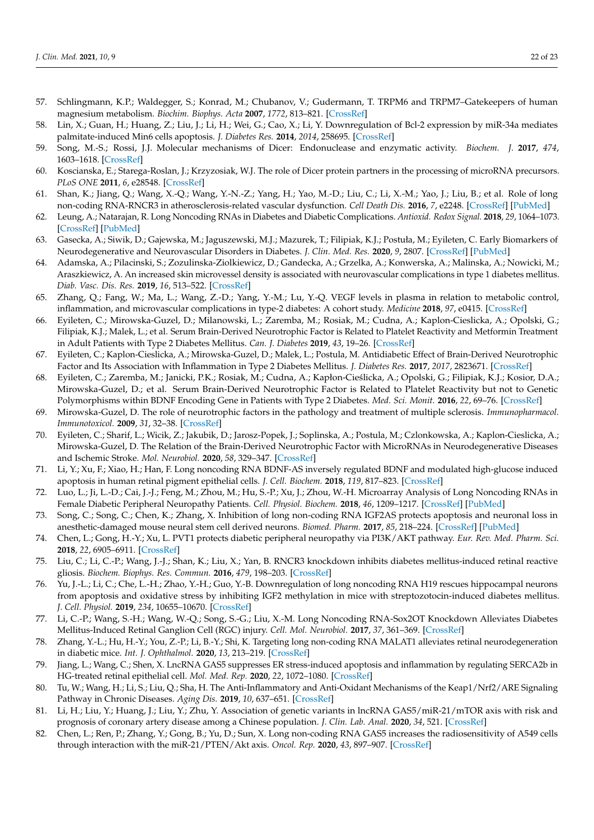- <span id="page-21-0"></span>57. Schlingmann, K.P.; Waldegger, S.; Konrad, M.; Chubanov, V.; Gudermann, T. TRPM6 and TRPM7–Gatekeepers of human magnesium metabolism. *Biochim. Biophys. Acta* **2007**, *1772*, 813–821. [\[CrossRef\]](http://dx.doi.org/10.1016/j.bbadis.2007.03.009)
- <span id="page-21-1"></span>58. Lin, X.; Guan, H.; Huang, Z.; Liu, J.; Li, H.; Wei, G.; Cao, X.; Li, Y. Downregulation of Bcl-2 expression by miR-34a mediates palmitate-induced Min6 cells apoptosis. *J. Diabetes Res.* **2014**, *2014*, 258695. [\[CrossRef\]](http://dx.doi.org/10.1155/2014/258695)
- <span id="page-21-2"></span>59. Song, M.-S.; Rossi, J.J. Molecular mechanisms of Dicer: Endonuclease and enzymatic activity. *Biochem. J.* **2017**, *474*, 1603–1618. [\[CrossRef\]](http://dx.doi.org/10.1042/BCJ20160759)
- <span id="page-21-3"></span>60. Koscianska, E.; Starega-Roslan, J.; Krzyzosiak, W.J. The role of Dicer protein partners in the processing of microRNA precursors. *PLoS ONE* **2011**, *6*, e28548. [\[CrossRef\]](http://dx.doi.org/10.1371/journal.pone.0028548)
- <span id="page-21-4"></span>61. Shan, K.; Jiang, Q.; Wang, X.-Q.; Wang, Y.-N.-Z.; Yang, H.; Yao, M.-D.; Liu, C.; Li, X.-M.; Yao, J.; Liu, B.; et al. Role of long non-coding RNA-RNCR3 in atherosclerosis-related vascular dysfunction. *Cell Death Dis.* **2016**, *7*, e2248. [\[CrossRef\]](http://dx.doi.org/10.1038/cddis.2016.145) [\[PubMed\]](http://www.ncbi.nlm.nih.gov/pubmed/27253412)
- <span id="page-21-5"></span>62. Leung, A.; Natarajan, R. Long Noncoding RNAs in Diabetes and Diabetic Complications. *Antioxid. Redox Signal.* **2018**, *29*, 1064–1073. [\[CrossRef\]](http://dx.doi.org/10.1089/ars.2017.7315) [\[PubMed\]](http://www.ncbi.nlm.nih.gov/pubmed/28934861)
- <span id="page-21-6"></span>63. Gasecka, A.; Siwik, D.; Gajewska, M.; Jaguszewski, M.J.; Mazurek, T.; Filipiak, K.J.; Postuła, M.; Eyileten, C. Early Biomarkers of Neurodegenerative and Neurovascular Disorders in Diabetes. *J. Clin. Med. Res.* **2020**, *9*, 2807. [\[CrossRef\]](http://dx.doi.org/10.3390/jcm9092807) [\[PubMed\]](http://www.ncbi.nlm.nih.gov/pubmed/32872672)
- <span id="page-21-7"></span>64. Adamska, A.; Pilacinski, S.; Zozulinska-Ziolkiewicz, D.; Gandecka, A.; Grzelka, A.; Konwerska, A.; Malinska, A.; Nowicki, M.; Araszkiewicz, A. An increased skin microvessel density is associated with neurovascular complications in type 1 diabetes mellitus. *Diab. Vasc. Dis. Res.* **2019**, *16*, 513–522. [\[CrossRef\]](http://dx.doi.org/10.1177/1479164119850831)
- <span id="page-21-8"></span>65. Zhang, Q.; Fang, W.; Ma, L.; Wang, Z.-D.; Yang, Y.-M.; Lu, Y.-Q. VEGF levels in plasma in relation to metabolic control, inflammation, and microvascular complications in type-2 diabetes: A cohort study. *Medicine* **2018**, *97*, e0415. [\[CrossRef\]](http://dx.doi.org/10.1097/MD.0000000000010415)
- <span id="page-21-9"></span>66. Eyileten, C.; Mirowska-Guzel, D.; Milanowski, L.; Zaremba, M.; Rosiak, M.; Cudna, A.; Kaplon-Cieslicka, A.; Opolski, G.; Filipiak, K.J.; Malek, L.; et al. Serum Brain-Derived Neurotrophic Factor is Related to Platelet Reactivity and Metformin Treatment in Adult Patients with Type 2 Diabetes Mellitus. *Can. J. Diabetes* **2019**, *43*, 19–26. [\[CrossRef\]](http://dx.doi.org/10.1016/j.jcjd.2018.01.014)
- 67. Eyileten, C.; Kaplon-Cieslicka, A.; Mirowska-Guzel, D.; Malek, L.; Postula, M. Antidiabetic Effect of Brain-Derived Neurotrophic Factor and Its Association with Inflammation in Type 2 Diabetes Mellitus. *J. Diabetes Res.* **2017**, *2017*, 2823671. [\[CrossRef\]](http://dx.doi.org/10.1155/2017/2823671)
- 68. Eyileten, C.; Zaremba, M.; Janicki, P.K.; Rosiak, M.; Cudna, A.; Kapłon-Cieślicka, A.; Opolski, G.; Filipiak, K.J.; Kosior, D.A.; Mirowska-Guzel, D.; et al. Serum Brain-Derived Neurotrophic Factor is Related to Platelet Reactivity but not to Genetic Polymorphisms within BDNF Encoding Gene in Patients with Type 2 Diabetes. *Med. Sci. Monit.* **2016**, *22*, 69–76. [\[CrossRef\]](http://dx.doi.org/10.12659/MSM.895607)
- <span id="page-21-10"></span>69. Mirowska-Guzel, D. The role of neurotrophic factors in the pathology and treatment of multiple sclerosis. *Immunopharmacol. Immunotoxicol.* **2009**, *31*, 32–38. [\[CrossRef\]](http://dx.doi.org/10.1080/08923970802379819)
- <span id="page-21-11"></span>70. Eyileten, C.; Sharif, L.; Wicik, Z.; Jakubik, D.; Jarosz-Popek, J.; Soplinska, A.; Postula, M.; Czlonkowska, A.; Kaplon-Cieslicka, A.; Mirowska-Guzel, D. The Relation of the Brain-Derived Neurotrophic Factor with MicroRNAs in Neurodegenerative Diseases and Ischemic Stroke. *Mol. Neurobiol.* **2020**, *58*, 329–347. [\[CrossRef\]](http://dx.doi.org/10.1007/s12035-020-02101-2)
- <span id="page-21-12"></span>71. Li, Y.; Xu, F.; Xiao, H.; Han, F. Long noncoding RNA BDNF-AS inversely regulated BDNF and modulated high-glucose induced apoptosis in human retinal pigment epithelial cells. *J. Cell. Biochem.* **2018**, *119*, 817–823. [\[CrossRef\]](http://dx.doi.org/10.1002/jcb.26245)
- 72. Luo, L.; Ji, L.-D.; Cai, J.-J.; Feng, M.; Zhou, M.; Hu, S.-P.; Xu, J.; Zhou, W.-H. Microarray Analysis of Long Noncoding RNAs in Female Diabetic Peripheral Neuropathy Patients. *Cell. Physiol. Biochem.* **2018**, *46*, 1209–1217. [\[CrossRef\]](http://dx.doi.org/10.1159/000489071) [\[PubMed\]](http://www.ncbi.nlm.nih.gov/pubmed/29672293)
- 73. Song, C.; Song, C.; Chen, K.; Zhang, X. Inhibition of long non-coding RNA IGF2AS protects apoptosis and neuronal loss in anesthetic-damaged mouse neural stem cell derived neurons. *Biomed. Pharm.* **2017**, *85*, 218–224. [\[CrossRef\]](http://dx.doi.org/10.1016/j.biopha.2016.10.094) [\[PubMed\]](http://www.ncbi.nlm.nih.gov/pubmed/27914827)
- <span id="page-21-13"></span>74. Chen, L.; Gong, H.-Y.; Xu, L. PVT1 protects diabetic peripheral neuropathy via PI3K/AKT pathway. *Eur. Rev. Med. Pharm. Sci.* **2018**, *22*, 6905–6911. [\[CrossRef\]](http://dx.doi.org/10.26355/eurrev_201810_16160)
- <span id="page-21-14"></span>75. Liu, C.; Li, C.-P.; Wang, J.-J.; Shan, K.; Liu, X.; Yan, B. RNCR3 knockdown inhibits diabetes mellitus-induced retinal reactive gliosis. *Biochem. Biophys. Res. Commun.* **2016**, *479*, 198–203. [\[CrossRef\]](http://dx.doi.org/10.1016/j.bbrc.2016.09.032)
- <span id="page-21-15"></span>76. Yu, J.-L.; Li, C.; Che, L.-H.; Zhao, Y.-H.; Guo, Y.-B. Downregulation of long noncoding RNA H19 rescues hippocampal neurons from apoptosis and oxidative stress by inhibiting IGF2 methylation in mice with streptozotocin-induced diabetes mellitus. *J. Cell. Physiol.* **2019**, *234*, 10655–10670. [\[CrossRef\]](http://dx.doi.org/10.1002/jcp.27746)
- <span id="page-21-16"></span>77. Li, C.-P.; Wang, S.-H.; Wang, W.-Q.; Song, S.-G.; Liu, X.-M. Long Noncoding RNA-Sox2OT Knockdown Alleviates Diabetes Mellitus-Induced Retinal Ganglion Cell (RGC) injury. *Cell. Mol. Neurobiol.* **2017**, *37*, 361–369. [\[CrossRef\]](http://dx.doi.org/10.1007/s10571-016-0380-1)
- <span id="page-21-17"></span>78. Zhang, Y.-L.; Hu, H.-Y.; You, Z.-P.; Li, B.-Y.; Shi, K. Targeting long non-coding RNA MALAT1 alleviates retinal neurodegeneration in diabetic mice. *Int. J. Ophthalmol.* **2020**, *13*, 213–219. [\[CrossRef\]](http://dx.doi.org/10.18240/ijo.2020.02.03)
- <span id="page-21-18"></span>79. Jiang, L.; Wang, C.; Shen, X. LncRNA GAS5 suppresses ER stress-induced apoptosis and inflammation by regulating SERCA2b in HG-treated retinal epithelial cell. *Mol. Med. Rep.* **2020**, *22*, 1072–1080. [\[CrossRef\]](http://dx.doi.org/10.3892/mmr.2020.11163)
- <span id="page-21-19"></span>80. Tu, W.; Wang, H.; Li, S.; Liu, Q.; Sha, H. The Anti-Inflammatory and Anti-Oxidant Mechanisms of the Keap1/Nrf2/ARE Signaling Pathway in Chronic Diseases. *Aging Dis.* **2019**, *10*, 637–651. [\[CrossRef\]](http://dx.doi.org/10.14336/AD.2018.0513)
- <span id="page-21-20"></span>81. Li, H.; Liu, Y.; Huang, J.; Liu, Y.; Zhu, Y. Association of genetic variants in lncRNA GAS5/miR-21/mTOR axis with risk and prognosis of coronary artery disease among a Chinese population. *J. Clin. Lab. Anal.* **2020**, *34*, 521. [\[CrossRef\]](http://dx.doi.org/10.1002/jcla.23430)
- 82. Chen, L.; Ren, P.; Zhang, Y.; Gong, B.; Yu, D.; Sun, X. Long non-coding RNA GAS5 increases the radiosensitivity of A549 cells through interaction with the miR-21/PTEN/Akt axis. *Oncol. Rep.* **2020**, *43*, 897–907. [\[CrossRef\]](http://dx.doi.org/10.3892/or.2020.7467)